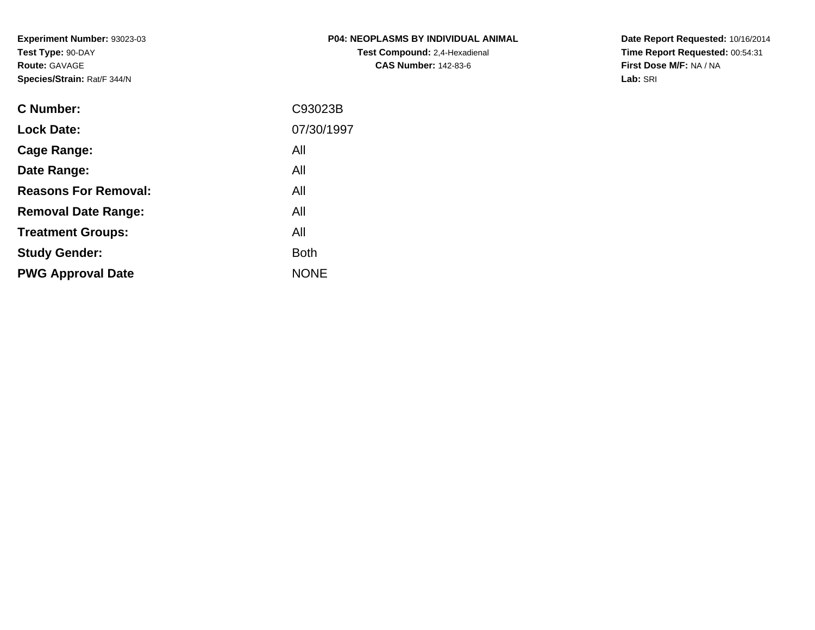**Experiment Number:** 93023-03**Test Type:** 90-DAY**Route:** GAVAGE**Species/Strain:** Rat/F 344/N

**Date Report Requested:** 10/16/2014 **Time Report Requested:** 00:54:31**First Dose M/F:** NA / NA**Lab:** SRI

| C Number:                   | C93023B     |
|-----------------------------|-------------|
| <b>Lock Date:</b>           | 07/30/1997  |
| Cage Range:                 | All         |
| Date Range:                 | All         |
| <b>Reasons For Removal:</b> | All         |
| <b>Removal Date Range:</b>  | All         |
| <b>Treatment Groups:</b>    | All         |
| <b>Study Gender:</b>        | <b>Both</b> |
| <b>PWG Approval Date</b>    | <b>NONE</b> |
|                             |             |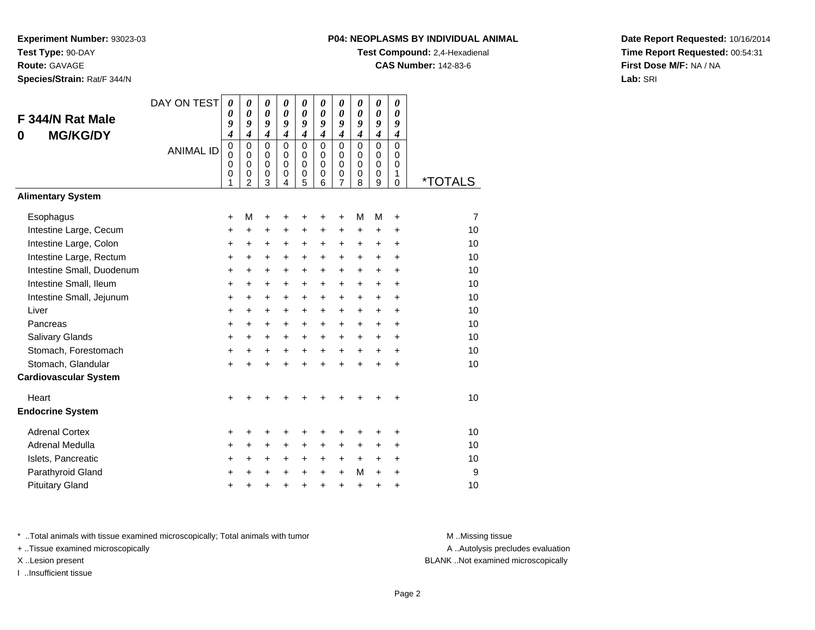**Species/Strain:** Rat/F 344/N

#### **P04: NEOPLASMS BY INDIVIDUAL ANIMAL**

**Test Compound:** 2,4-Hexadienal

**CAS Number:** 142-83-6

**Date Report Requested:** 10/16/2014**Time Report Requested:** 00:54:31**First Dose M/F:** NA / NA**Lab:** SRI

|                              | DAY ON TEST      | 0                | 0                       | 0                | 0                    | $\boldsymbol{\theta}$ | 0                          | 0                | $\boldsymbol{\theta}$ | $\boldsymbol{\theta}$ | 0                |                       |
|------------------------------|------------------|------------------|-------------------------|------------------|----------------------|-----------------------|----------------------------|------------------|-----------------------|-----------------------|------------------|-----------------------|
| F 344/N Rat Male             |                  | 0<br>9           | 0<br>9                  | 0<br>9           | 0<br>9               | 0<br>9                | $\boldsymbol{\theta}$<br>9 | 0<br>9           | 0<br>9                | 0<br>9                | 0<br>9           |                       |
| <b>MG/KG/DY</b><br>0         |                  | 4                | $\boldsymbol{4}$        | $\boldsymbol{4}$ | $\boldsymbol{4}$     | $\boldsymbol{4}$      | 4                          | 4                | $\boldsymbol{4}$      | $\boldsymbol{4}$      | $\boldsymbol{4}$ |                       |
|                              | <b>ANIMAL ID</b> | 0<br>$\mathbf 0$ | $\mathbf 0$<br>$\Omega$ | $\mathbf 0$<br>0 | $\Omega$<br>$\Omega$ | $\mathbf 0$<br>0      | $\Omega$<br>$\Omega$       | $\mathbf 0$<br>0 | $\Omega$<br>$\Omega$  | $\mathbf 0$<br>0      | $\Omega$<br>0    |                       |
|                              |                  | 0                | $\mathbf 0$             | $\mathbf 0$      | $\Omega$             | $\mathbf 0$           | $\Omega$                   | $\mathbf 0$      | $\Omega$              | $\mathbf 0$           | $\mathbf 0$      |                       |
|                              |                  | 0<br>1           | $\mathbf 0$<br>2        | 0<br>3           | 0<br>4               | 0<br>5                | $\mathbf 0$<br>6           | 0<br>7           | $\mathbf 0$<br>8      | $\mathbf 0$<br>9      | 1<br>$\mathbf 0$ | <i><b>*TOTALS</b></i> |
| <b>Alimentary System</b>     |                  |                  |                         |                  |                      |                       |                            |                  |                       |                       |                  |                       |
| Esophagus                    |                  | +                | М                       | +                | +                    | +                     | +                          | +                | M                     | M                     | $\ddot{}$        | 7                     |
| Intestine Large, Cecum       |                  | +                | +                       | +                | +                    | +                     | +                          | +                | +                     | +                     | +                | 10                    |
| Intestine Large, Colon       |                  | +                | +                       | +                | $\ddot{}$            | +                     | $\ddot{}$                  | +                | $\ddot{}$             | +                     | $\ddot{}$        | 10                    |
| Intestine Large, Rectum      |                  | $\pm$            | $\ddot{}$               | $\pm$            | $\ddot{}$            | +                     | $\ddot{}$                  | +                | +                     | +                     | $\ddot{}$        | 10                    |
| Intestine Small, Duodenum    |                  | $\ddot{}$        | $\ddot{}$               | $\ddot{}$        | $\ddot{}$            | +                     | $\ddot{}$                  | $\ddot{}$        | $\ddot{}$             | $\ddot{}$             | $\ddot{}$        | 10                    |
| Intestine Small, Ileum       |                  | +                | +                       | +                | +                    | +                     | +                          | +                | +                     | +                     | +                | 10                    |
| Intestine Small, Jejunum     |                  | +                | $\ddot{}$               | $\ddot{}$        | $\ddot{}$            | $\ddot{}$             | $\ddot{}$                  | +                | $\ddot{}$             | $\ddot{}$             | $\ddot{}$        | 10                    |
| Liver                        |                  | +                | +                       | $\ddot{}$        | $\ddot{}$            | +                     | $\ddot{}$                  | +                | +                     | +                     | +                | 10                    |
| Pancreas                     |                  | $\ddot{}$        | $\ddot{}$               | $+$              | $\ddot{}$            | $\ddot{}$             | $\ddot{}$                  | +                | $\ddot{}$             | $\ddot{}$             | $\ddot{}$        | 10                    |
| Salivary Glands              |                  | +                | +                       | $\ddot{}$        | $\ddot{}$            | +                     | +                          | +                | +                     | +                     | +                | 10                    |
| Stomach, Forestomach         |                  | $\ddot{}$        | $\ddot{}$               | $\ddot{}$        | $\ddot{}$            | $\ddot{}$             | $\ddot{}$                  | $\ddot{}$        | $\ddot{}$             | $\ddot{}$             | $\ddot{}$        | 10                    |
| Stomach, Glandular           |                  | $\ddot{}$        | $\ddot{}$               | $\ddot{}$        | $\ddot{}$            | $\ddot{}$             | $\ddot{}$                  | $\ddot{}$        | $\ddot{}$             | $\ddot{}$             | $\ddot{}$        | 10                    |
| <b>Cardiovascular System</b> |                  |                  |                         |                  |                      |                       |                            |                  |                       |                       |                  |                       |
| Heart                        |                  | +                |                         |                  |                      |                       |                            |                  |                       | +                     | +                | 10                    |
| <b>Endocrine System</b>      |                  |                  |                         |                  |                      |                       |                            |                  |                       |                       |                  |                       |
| <b>Adrenal Cortex</b>        |                  | +                | +                       | +                | +                    | +                     | +                          | +                | +                     | +                     | +                | 10                    |
| Adrenal Medulla              |                  | $\ddot{}$        | $\ddot{}$               | $\ddot{}$        | $\ddot{}$            | $\ddot{}$             | $\ddot{}$                  | $\pm$            | $\ddot{}$             | $\ddot{}$             | $\ddot{}$        | 10                    |
| Islets, Pancreatic           |                  | +                | $\ddot{}$               | +                | +                    | +                     | $\ddot{}$                  | +                | $\ddot{}$             | $\ddot{}$             | $\ddot{}$        | 10                    |
| Parathyroid Gland            |                  | $\ddot{}$        | $\ddot{}$               | $\ddot{}$        | $\ddot{}$            | $\ddot{}$             | $\ddot{}$                  | $\ddot{}$        | M                     | $\ddot{}$             | ÷                | 9                     |
| <b>Pituitary Gland</b>       |                  | +                | +                       | +                | +                    | $\ddot{}$             | $\ddot{}$                  | $\ddot{}$        | $\ddot{}$             | +                     | +                | 10                    |

\* ..Total animals with tissue examined microscopically; Total animals with tumor **M** . Missing tissue M ..Missing tissue

+ ..Tissue examined microscopically

I ..Insufficient tissue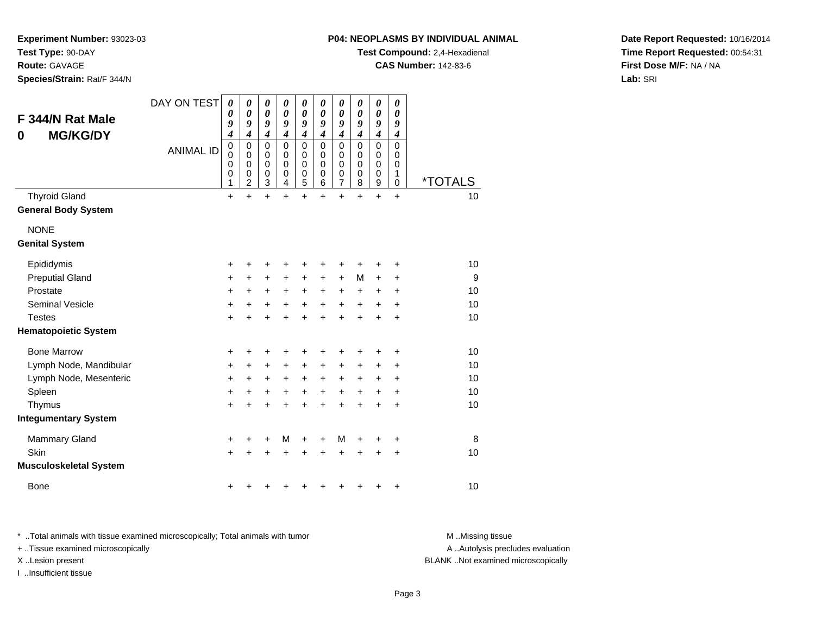**P04: NEOPLASMS BY INDIVIDUAL ANIMAL**

**Test Compound:** 2,4-Hexadienal

**CAS Number:** 142-83-6

**Date Report Requested:** 10/16/2014**Time Report Requested:** 00:54:31**First Dose M/F:** NA / NA**Lab:** SRI

**Experiment Number:** 93023-03**Test Type:** 90-DAY

**Route:** GAVAGE

**Species/Strain:** Rat/F 344/N

| F 344/N Rat Male<br><b>MG/KG/DY</b><br>0           | DAY ON TEST<br><b>ANIMAL ID</b> | 0<br>0<br>9<br>$\boldsymbol{4}$<br>$\pmb{0}$<br>0<br>$\mathbf 0$<br>0<br>1 | 0<br>0<br>9<br>$\boldsymbol{4}$<br>$\mathbf 0$<br>$\mathbf 0$<br>$\mathbf 0$<br>0<br>$\overline{2}$ | 0<br>$\boldsymbol{\theta}$<br>9<br>$\boldsymbol{4}$<br>$\mathbf 0$<br>$\mathbf 0$<br>$\mathbf 0$<br>$\mathbf 0$<br>3 | 0<br>0<br>9<br>$\boldsymbol{4}$<br>$\mathbf 0$<br>$\mathbf 0$<br>$\mathbf 0$<br>0<br>4 | 0<br>$\boldsymbol{\theta}$<br>9<br>$\overline{\boldsymbol{4}}$<br>0<br>0<br>0<br>0<br>5 | 0<br>$\boldsymbol{\theta}$<br>9<br>$\boldsymbol{4}$<br>$\mathbf 0$<br>0<br>$\mathbf 0$<br>0<br>6 | 0<br>0<br>9<br>$\boldsymbol{4}$<br>$\mathbf 0$<br>$\mathbf 0$<br>$\mathbf 0$<br>$\mathbf 0$<br>7 | 0<br>0<br>9<br>$\boldsymbol{4}$<br>$\mathbf 0$<br>0<br>$\mathbf 0$<br>0<br>8 | $\boldsymbol{\theta}$<br>$\boldsymbol{\theta}$<br>9<br>$\boldsymbol{4}$<br>$\mathbf 0$<br>$\mathbf 0$<br>$\mathbf 0$<br>0<br>9 | 0<br>0<br>9<br>$\boldsymbol{4}$<br>$\mathbf 0$<br>$\mathbf 0$<br>$\mathbf 0$<br>1<br>0 | <i><b>*TOTALS</b></i> |
|----------------------------------------------------|---------------------------------|----------------------------------------------------------------------------|-----------------------------------------------------------------------------------------------------|----------------------------------------------------------------------------------------------------------------------|----------------------------------------------------------------------------------------|-----------------------------------------------------------------------------------------|--------------------------------------------------------------------------------------------------|--------------------------------------------------------------------------------------------------|------------------------------------------------------------------------------|--------------------------------------------------------------------------------------------------------------------------------|----------------------------------------------------------------------------------------|-----------------------|
| <b>Thyroid Gland</b><br><b>General Body System</b> |                                 | $\ddot{}$                                                                  | $\ddot{}$                                                                                           | $\ddot{}$                                                                                                            | $\ddot{}$                                                                              | $\ddot{}$                                                                               | $\ddot{}$                                                                                        | $\ddot{}$                                                                                        | $\ddot{}$                                                                    | $\ddot{}$                                                                                                                      | $\ddot{}$                                                                              | 10                    |
| <b>NONE</b><br><b>Genital System</b>               |                                 |                                                                            |                                                                                                     |                                                                                                                      |                                                                                        |                                                                                         |                                                                                                  |                                                                                                  |                                                                              |                                                                                                                                |                                                                                        |                       |
| Epididymis                                         |                                 | +                                                                          | +                                                                                                   | +                                                                                                                    | ٠                                                                                      | +                                                                                       | ٠                                                                                                | ٠                                                                                                | +                                                                            | +                                                                                                                              | +                                                                                      | 10                    |
| <b>Preputial Gland</b>                             |                                 | $\ddot{}$                                                                  | $\ddot{}$                                                                                           | $\ddot{}$                                                                                                            | $\ddot{}$                                                                              | $\ddot{}$                                                                               | $\ddot{}$                                                                                        | $+$                                                                                              | M                                                                            | $\ddot{}$                                                                                                                      | +                                                                                      | 9                     |
| Prostate                                           |                                 | $\ddot{}$                                                                  | $\ddot{}$                                                                                           | $\ddot{}$                                                                                                            | $\ddot{}$                                                                              | +                                                                                       | $\ddot{}$                                                                                        | $\ddot{}$                                                                                        | $\ddot{}$                                                                    | $\ddot{}$                                                                                                                      | $\ddot{}$                                                                              | 10                    |
| <b>Seminal Vesicle</b>                             |                                 | $\ddot{}$                                                                  | +                                                                                                   | +                                                                                                                    | $\ddot{}$                                                                              | +                                                                                       | $\ddot{}$                                                                                        | +                                                                                                | +                                                                            | +                                                                                                                              | +                                                                                      | 10                    |
| <b>Testes</b>                                      |                                 | $\ddot{}$                                                                  | $\ddot{}$                                                                                           | $\ddot{}$                                                                                                            | $\ddot{}$                                                                              | $\ddot{}$                                                                               | $\ddot{}$                                                                                        | $\ddot{}$                                                                                        | $\ddot{}$                                                                    | $\ddot{}$                                                                                                                      | $\ddot{}$                                                                              | 10                    |
| <b>Hematopoietic System</b>                        |                                 |                                                                            |                                                                                                     |                                                                                                                      |                                                                                        |                                                                                         |                                                                                                  |                                                                                                  |                                                                              |                                                                                                                                |                                                                                        |                       |
| <b>Bone Marrow</b>                                 |                                 | +                                                                          | +                                                                                                   | +                                                                                                                    | +                                                                                      | +                                                                                       | +                                                                                                | ٠                                                                                                | +                                                                            | +                                                                                                                              | ÷                                                                                      | 10                    |
| Lymph Node, Mandibular                             |                                 | $\ddot{}$                                                                  | $\ddot{}$                                                                                           | $\ddot{}$                                                                                                            | $\ddot{}$                                                                              | $\ddot{}$                                                                               | $\ddot{}$                                                                                        | $+$                                                                                              | $\ddot{}$                                                                    | $\ddot{}$                                                                                                                      | +                                                                                      | 10                    |
| Lymph Node, Mesenteric                             |                                 | $\ddot{}$                                                                  | $\ddot{}$                                                                                           | $\ddot{}$                                                                                                            | $\ddot{}$                                                                              | +                                                                                       | $\ddot{}$                                                                                        | $\ddot{}$                                                                                        | $\ddot{}$                                                                    | +                                                                                                                              | +                                                                                      | 10                    |
| Spleen                                             |                                 | $\ddot{}$                                                                  | $\ddot{}$                                                                                           | $\ddot{}$                                                                                                            | $\ddot{}$                                                                              | $\ddot{}$                                                                               | $\ddot{}$                                                                                        | $\ddot{}$                                                                                        | $\ddot{}$                                                                    | $\ddot{}$                                                                                                                      | $\ddot{}$                                                                              | 10                    |
| Thymus                                             |                                 | $\ddot{}$                                                                  | $\ddot{}$                                                                                           | $\ddot{}$                                                                                                            | $\ddot{}$                                                                              | $\ddot{}$                                                                               | $\ddot{}$                                                                                        | $\ddot{}$                                                                                        | $\ddot{}$                                                                    | $\ddot{}$                                                                                                                      | $\ddot{}$                                                                              | 10                    |
| <b>Integumentary System</b>                        |                                 |                                                                            |                                                                                                     |                                                                                                                      |                                                                                        |                                                                                         |                                                                                                  |                                                                                                  |                                                                              |                                                                                                                                |                                                                                        |                       |
| <b>Mammary Gland</b>                               |                                 | $\ddot{}$                                                                  | +                                                                                                   | $\ddot{}$                                                                                                            | м                                                                                      | +                                                                                       | +                                                                                                | M                                                                                                | +                                                                            | +                                                                                                                              | +                                                                                      | 8                     |
| Skin                                               |                                 | $\ddot{}$                                                                  | +                                                                                                   | +                                                                                                                    | +                                                                                      | +                                                                                       | +                                                                                                | +                                                                                                | +                                                                            | +                                                                                                                              | +                                                                                      | 10                    |
| <b>Musculoskeletal System</b>                      |                                 |                                                                            |                                                                                                     |                                                                                                                      |                                                                                        |                                                                                         |                                                                                                  |                                                                                                  |                                                                              |                                                                                                                                |                                                                                        |                       |
| <b>Bone</b>                                        |                                 |                                                                            |                                                                                                     |                                                                                                                      |                                                                                        |                                                                                         |                                                                                                  |                                                                                                  |                                                                              | +                                                                                                                              | +                                                                                      | 10                    |

\* ..Total animals with tissue examined microscopically; Total animals with tumor **M** . Missing tissue M ..Missing tissue

+ ..Tissue examined microscopically

I ..Insufficient tissue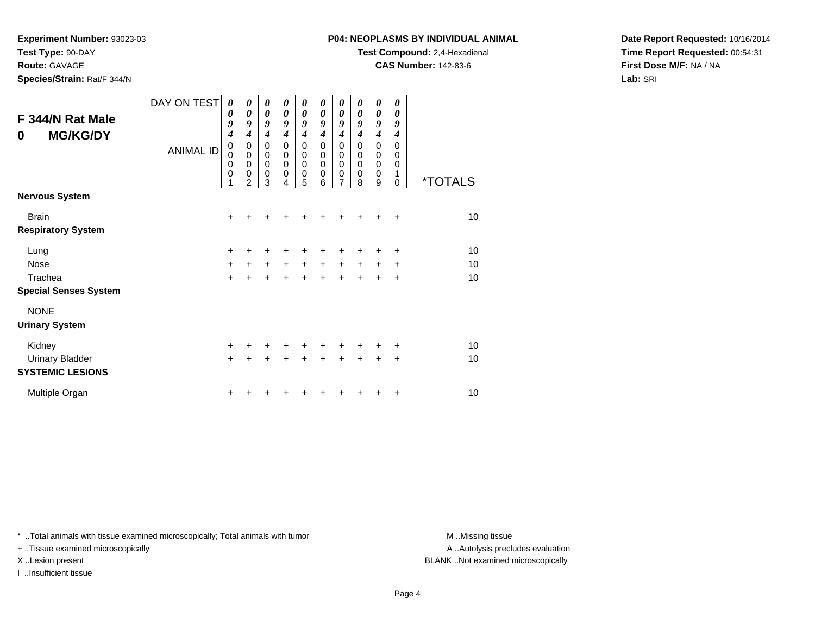**Experiment Number:** 93023-03

**Test Type:** 90-DAY

# **Route:** GAVAGE

**Species/Strain:** Rat/F 344/N

# **P04: NEOPLASMS BY INDIVIDUAL ANIMAL**

**Test Compound:** 2,4-Hexadienal

**CAS Number:** 142-83-6

**Date Report Requested:** 10/16/2014**Time Report Requested:** 00:54:31**First Dose M/F:** NA / NA**Lab:** SRI

| F 344/N Rat Male<br><b>MG/KG/DY</b><br>0 | DAY ON TEST<br><b>ANIMAL ID</b> | 0<br>0<br>9<br>4<br>0<br>0<br>0<br>0<br>1 | 0<br>$\boldsymbol{\theta}$<br>9<br>4<br>0<br>$\mathbf 0$<br>$\mathbf 0$<br>$\mathbf 0$<br>$\overline{2}$ | 0<br>$\boldsymbol{\theta}$<br>9<br>$\overline{\boldsymbol{4}}$<br>0<br>0<br>$\mathbf 0$<br>0<br>3 | 0<br>$\boldsymbol{\theta}$<br>9<br>4<br>0<br>0<br>$\mathbf 0$<br>0<br>4 | $\boldsymbol{\theta}$<br>$\boldsymbol{\theta}$<br>9<br>$\boldsymbol{4}$<br>$\pmb{0}$<br>$\pmb{0}$<br>$\mathbf 0$<br>$\mathbf 0$<br>5 | 0<br>$\boldsymbol{\theta}$<br>9<br>$\boldsymbol{4}$<br>0<br>$\mathbf 0$<br>$\mathbf 0$<br>0<br>6 | $\boldsymbol{\theta}$<br>$\boldsymbol{\theta}$<br>9<br>$\boldsymbol{4}$<br>0<br>$\boldsymbol{0}$<br>$\mathbf 0$<br>$\mathbf 0$<br>7 | 0<br>$\boldsymbol{\theta}$<br>9<br>$\boldsymbol{4}$<br>$\mathbf 0$<br>$\mathbf 0$<br>$\mathbf 0$<br>0<br>8 | 0<br>$\boldsymbol{\theta}$<br>9<br>4<br>0<br>0<br>$\mathbf 0$<br>$\mathbf 0$<br>9 | 0<br>$\boldsymbol{\theta}$<br>9<br>4<br>$\Omega$<br>$\mathbf 0$<br>0<br>1<br>$\Omega$ | <i><b>*TOTALS</b></i> |
|------------------------------------------|---------------------------------|-------------------------------------------|----------------------------------------------------------------------------------------------------------|---------------------------------------------------------------------------------------------------|-------------------------------------------------------------------------|--------------------------------------------------------------------------------------------------------------------------------------|--------------------------------------------------------------------------------------------------|-------------------------------------------------------------------------------------------------------------------------------------|------------------------------------------------------------------------------------------------------------|-----------------------------------------------------------------------------------|---------------------------------------------------------------------------------------|-----------------------|
| <b>Nervous System</b>                    |                                 |                                           |                                                                                                          |                                                                                                   |                                                                         |                                                                                                                                      |                                                                                                  |                                                                                                                                     |                                                                                                            |                                                                                   |                                                                                       |                       |
| <b>Brain</b>                             |                                 | $+$                                       | ٠                                                                                                        | ٠                                                                                                 | +                                                                       | ٠                                                                                                                                    | ٠                                                                                                | ٠                                                                                                                                   | ÷                                                                                                          | ÷                                                                                 | ÷                                                                                     | 10                    |
| <b>Respiratory System</b>                |                                 |                                           |                                                                                                          |                                                                                                   |                                                                         |                                                                                                                                      |                                                                                                  |                                                                                                                                     |                                                                                                            |                                                                                   |                                                                                       |                       |
| Lung                                     |                                 | +                                         |                                                                                                          | +                                                                                                 | +                                                                       | +                                                                                                                                    |                                                                                                  |                                                                                                                                     |                                                                                                            |                                                                                   | $\ddot{}$                                                                             | 10                    |
| <b>Nose</b>                              |                                 | $\ddot{}$                                 | $\ddot{}$                                                                                                | $\ddot{}$                                                                                         | $\ddot{}$                                                               | $+$                                                                                                                                  | $\ddot{}$                                                                                        | $\ddot{}$                                                                                                                           | $\ddot{}$                                                                                                  | $\ddot{}$                                                                         | ÷                                                                                     | 10                    |
| Trachea                                  |                                 | $\ddot{}$                                 | $\ddot{}$                                                                                                | $\ddot{}$                                                                                         | $\ddot{+}$                                                              | $\ddot{}$                                                                                                                            | $\ddotmark$                                                                                      | $\ddot{}$                                                                                                                           | $\ddot{}$                                                                                                  | $\ddot{}$                                                                         | $\ddot{}$                                                                             | 10                    |
| <b>Special Senses System</b>             |                                 |                                           |                                                                                                          |                                                                                                   |                                                                         |                                                                                                                                      |                                                                                                  |                                                                                                                                     |                                                                                                            |                                                                                   |                                                                                       |                       |
| <b>NONE</b>                              |                                 |                                           |                                                                                                          |                                                                                                   |                                                                         |                                                                                                                                      |                                                                                                  |                                                                                                                                     |                                                                                                            |                                                                                   |                                                                                       |                       |
| <b>Urinary System</b>                    |                                 |                                           |                                                                                                          |                                                                                                   |                                                                         |                                                                                                                                      |                                                                                                  |                                                                                                                                     |                                                                                                            |                                                                                   |                                                                                       |                       |
| Kidney                                   |                                 | $\ddot{}$                                 | $\pm$                                                                                                    | $\ddot{}$                                                                                         | +                                                                       | $\ddot{}$                                                                                                                            | $\ddot{}$                                                                                        | $\ddot{}$                                                                                                                           | ÷                                                                                                          | ٠                                                                                 | +                                                                                     | 10                    |
| <b>Urinary Bladder</b>                   |                                 | $+$                                       | $\ddot{}$                                                                                                | $\ddot{}$                                                                                         | $\ddot{}$                                                               | $+$                                                                                                                                  | $\ddot{}$                                                                                        | $\ddot{}$                                                                                                                           |                                                                                                            | $\ddot{}$                                                                         | $\ddot{}$                                                                             | 10                    |
| <b>SYSTEMIC LESIONS</b>                  |                                 |                                           |                                                                                                          |                                                                                                   |                                                                         |                                                                                                                                      |                                                                                                  |                                                                                                                                     |                                                                                                            |                                                                                   |                                                                                       |                       |
| Multiple Organ                           |                                 | +                                         |                                                                                                          |                                                                                                   |                                                                         |                                                                                                                                      |                                                                                                  |                                                                                                                                     |                                                                                                            |                                                                                   | ÷                                                                                     | 10                    |

\* ..Total animals with tissue examined microscopically; Total animals with tumor **M** . Missing tissue M ..Missing tissue

+ ..Tissue examined microscopically

I ..Insufficient tissue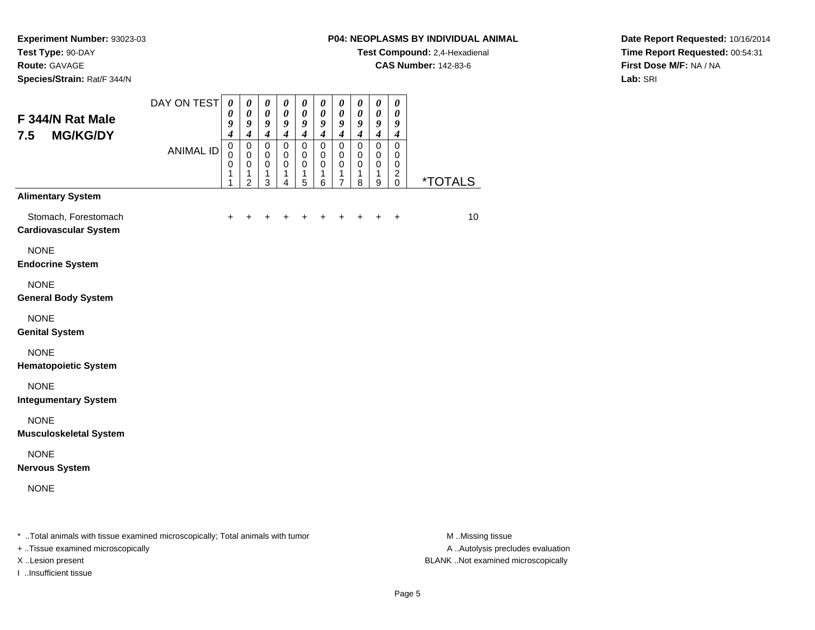**Species/Strain:** Rat/F 344/N

#### **P04: NEOPLASMS BY INDIVIDUAL ANIMAL**

**Test Compound:** 2,4-Hexadienal

**CAS Number:** 142-83-6

**Date Report Requested:** 10/16/2014**Time Report Requested:** 00:54:31**First Dose M/F:** NA / NA**Lab:** SRI

| F 344/N Rat Male<br><b>MG/KG/DY</b><br>7.5                                     | DAY ON TEST      | $\boldsymbol{\theta}$<br>0<br>9<br>$\boldsymbol{4}$ | 0<br>$\boldsymbol{\theta}$<br>9<br>$\boldsymbol{4}$    | 0<br>$\boldsymbol{\theta}$<br>9<br>$\boldsymbol{4}$ | 0<br>0<br>9<br>$\boldsymbol{4}$                     | 0<br>0<br>9<br>$\boldsymbol{4}$         | 0<br>$\boldsymbol{\theta}$<br>$\boldsymbol{g}$<br>$\boldsymbol{4}$ | 0<br>0<br>9<br>$\boldsymbol{4}$                        | 0<br>0<br>9<br>$\boldsymbol{4}$       | 0<br>$\boldsymbol{\theta}$<br>9<br>$\boldsymbol{4}$ | 0<br>$\boldsymbol{\theta}$<br>9<br>$\boldsymbol{4}$              |                       |
|--------------------------------------------------------------------------------|------------------|-----------------------------------------------------|--------------------------------------------------------|-----------------------------------------------------|-----------------------------------------------------|-----------------------------------------|--------------------------------------------------------------------|--------------------------------------------------------|---------------------------------------|-----------------------------------------------------|------------------------------------------------------------------|-----------------------|
|                                                                                | <b>ANIMAL ID</b> | $\pmb{0}$<br>$\mathbf 0$<br>$\mathbf 0$<br>1<br>1   | $\mathbf 0$<br>0<br>$\mathbf 0$<br>1<br>$\overline{2}$ | $\mathbf 0$<br>$\mathbf 0$<br>$\mathbf 0$<br>1<br>3 | $\mathbf 0$<br>$\mathbf 0$<br>$\mathbf 0$<br>1<br>4 | $\mathbf 0$<br>0<br>$\pmb{0}$<br>1<br>5 | $\mathbf 0$<br>$\pmb{0}$<br>$\mathbf 0$<br>1<br>$6\phantom{1}$     | $\mathbf 0$<br>0<br>$\mathbf 0$<br>1<br>$\overline{7}$ | $\pmb{0}$<br>0<br>$\pmb{0}$<br>1<br>8 | $\pmb{0}$<br>0<br>$\pmb{0}$<br>1<br>9               | $\mathbf 0$<br>0<br>$\pmb{0}$<br>$\boldsymbol{2}$<br>$\mathbf 0$ | <i><b>*TOTALS</b></i> |
| <b>Alimentary System</b>                                                       |                  |                                                     |                                                        |                                                     |                                                     |                                         |                                                                    |                                                        |                                       |                                                     |                                                                  |                       |
| Stomach, Forestomach<br><b>Cardiovascular System</b>                           |                  | +                                                   |                                                        |                                                     |                                                     | ٠                                       | +                                                                  | +                                                      | +                                     | +                                                   | $\ddot{}$                                                        | 10                    |
| <b>NONE</b><br><b>Endocrine System</b>                                         |                  |                                                     |                                                        |                                                     |                                                     |                                         |                                                                    |                                                        |                                       |                                                     |                                                                  |                       |
| <b>NONE</b><br><b>General Body System</b>                                      |                  |                                                     |                                                        |                                                     |                                                     |                                         |                                                                    |                                                        |                                       |                                                     |                                                                  |                       |
| <b>NONE</b><br><b>Genital System</b>                                           |                  |                                                     |                                                        |                                                     |                                                     |                                         |                                                                    |                                                        |                                       |                                                     |                                                                  |                       |
| <b>NONE</b><br><b>Hematopoietic System</b>                                     |                  |                                                     |                                                        |                                                     |                                                     |                                         |                                                                    |                                                        |                                       |                                                     |                                                                  |                       |
| <b>NONE</b><br><b>Integumentary System</b>                                     |                  |                                                     |                                                        |                                                     |                                                     |                                         |                                                                    |                                                        |                                       |                                                     |                                                                  |                       |
| <b>NONE</b><br><b>Musculoskeletal System</b>                                   |                  |                                                     |                                                        |                                                     |                                                     |                                         |                                                                    |                                                        |                                       |                                                     |                                                                  |                       |
| <b>NONE</b><br><b>Nervous System</b>                                           |                  |                                                     |                                                        |                                                     |                                                     |                                         |                                                                    |                                                        |                                       |                                                     |                                                                  |                       |
| <b>NONE</b>                                                                    |                  |                                                     |                                                        |                                                     |                                                     |                                         |                                                                    |                                                        |                                       |                                                     |                                                                  |                       |
| * Total animals with tissue examined microscopically; Total animals with tumor |                  |                                                     |                                                        |                                                     |                                                     |                                         |                                                                    |                                                        |                                       |                                                     |                                                                  | M Missing tissue      |

+ ..Tissue examined microscopically

I ..Insufficient tissue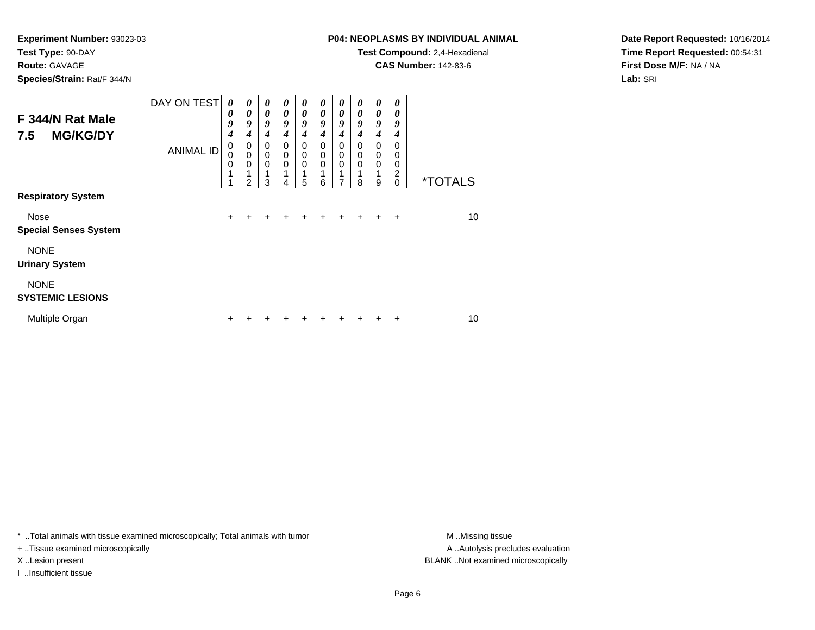**Route:** GAVAGE

**Species/Strain:** Rat/F 344/N

# **P04: NEOPLASMS BY INDIVIDUAL ANIMAL**

**Test Compound:** 2,4-Hexadienal

**CAS Number:** 142-83-6

**Date Report Requested:** 10/16/2014**Time Report Requested:** 00:54:31**First Dose M/F:** NA / NA**Lab:** SRI

| F 344/N Rat Male<br><b>MG/KG/DY</b><br>7.5 | DAY ON TEST      | 0<br>0<br>9<br>4                | $\boldsymbol{\theta}$<br>$\boldsymbol{\theta}$<br>9<br>4 | 0<br>$\boldsymbol{\theta}$<br>9<br>4                | 0<br>$\boldsymbol{\theta}$<br>9<br>4 | 0<br>$\boldsymbol{\theta}$<br>9<br>4                | 0<br>$\boldsymbol{\theta}$<br>9<br>4 | 0<br>$\boldsymbol{\theta}$<br>9<br>4                | $\boldsymbol{\theta}$<br>0<br>9<br>4        | $\boldsymbol{\theta}$<br>$\boldsymbol{\theta}$<br>9<br>4 | 0<br>0<br>9<br>4                    |                       |
|--------------------------------------------|------------------|---------------------------------|----------------------------------------------------------|-----------------------------------------------------|--------------------------------------|-----------------------------------------------------|--------------------------------------|-----------------------------------------------------|---------------------------------------------|----------------------------------------------------------|-------------------------------------|-----------------------|
| <b>Respiratory System</b>                  | <b>ANIMAL ID</b> | $\mathbf 0$<br>0<br>0<br>1<br>1 | 0<br>$\mathbf 0$<br>$\mathbf 0$<br>2                     | $\mathbf 0$<br>$\mathbf 0$<br>$\mathbf 0$<br>1<br>3 | $\mathbf 0$<br>0<br>0<br>1<br>4      | $\mathbf 0$<br>$\mathbf 0$<br>$\mathbf 0$<br>1<br>5 | $\mathbf 0$<br>0<br>0<br>6           | $\mathbf 0$<br>$\mathbf 0$<br>$\mathbf 0$<br>1<br>7 | $\Omega$<br>$\mathbf 0$<br>$\mathbf 0$<br>8 | $\mathbf 0$<br>$\mathbf 0$<br>$\mathbf 0$<br>1<br>9      | $\Omega$<br>0<br>0<br>2<br>$\Omega$ | <i><b>*TOTALS</b></i> |
|                                            |                  |                                 |                                                          |                                                     |                                      |                                                     |                                      |                                                     |                                             |                                                          |                                     |                       |
| Nose<br><b>Special Senses System</b>       |                  | $\ddot{}$                       | $\ddot{}$                                                | $\ddot{}$                                           | $\pm$                                | $\pm$                                               | $\ddot{}$                            | $\ddot{}$                                           | $\ddot{}$                                   | $\ddot{}$                                                | $\ddot{}$                           | 10                    |
| <b>NONE</b><br><b>Urinary System</b>       |                  |                                 |                                                          |                                                     |                                      |                                                     |                                      |                                                     |                                             |                                                          |                                     |                       |
| <b>NONE</b><br><b>SYSTEMIC LESIONS</b>     |                  |                                 |                                                          |                                                     |                                      |                                                     |                                      |                                                     |                                             |                                                          |                                     |                       |
| Multiple Organ                             |                  | +                               |                                                          |                                                     |                                      |                                                     |                                      |                                                     |                                             |                                                          | +                                   | 10                    |

\* ..Total animals with tissue examined microscopically; Total animals with tumor **M** . Missing tissue M ..Missing tissue

+ ..Tissue examined microscopically

I ..Insufficient tissue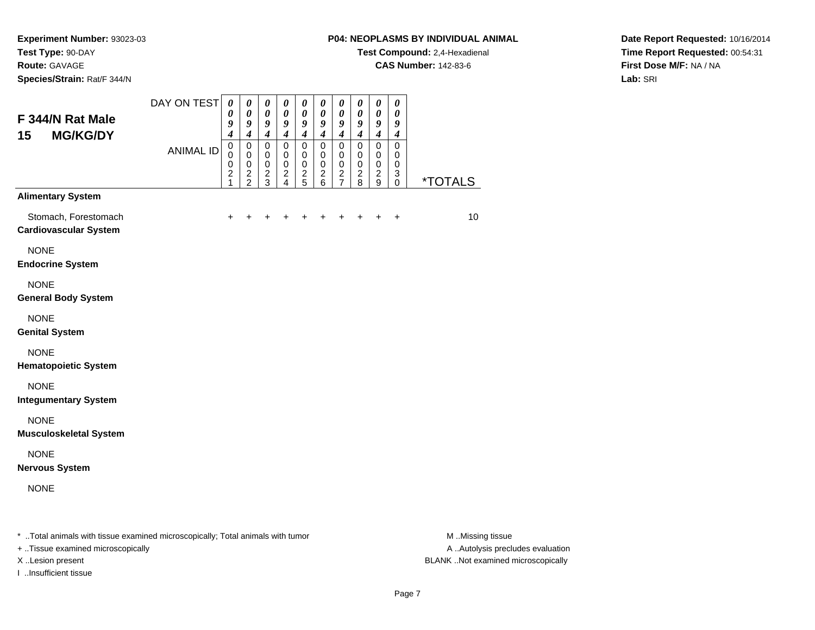**Species/Strain:** Rat/F 344/N

#### **P04: NEOPLASMS BY INDIVIDUAL ANIMAL**

**Test Compound:** 2,4-Hexadienal

**CAS Number:** 142-83-6

**Date Report Requested:** 10/16/2014**Time Report Requested:** 00:54:31**First Dose M/F:** NA / NA**Lab:** SRI

| F 344/N Rat Male<br>15<br><b>MG/KG/DY</b>                                      | DAY ON TEST      | $\boldsymbol{\theta}$<br>0<br>9<br>$\boldsymbol{4}$             | $\boldsymbol{\theta}$<br>$\boldsymbol{\theta}$<br>$\boldsymbol{g}$<br>$\boldsymbol{4}$ | 0<br>$\pmb{\theta}$<br>9<br>$\boldsymbol{4}$                                | $\boldsymbol{\theta}$<br>$\boldsymbol{\theta}$<br>$\boldsymbol{g}$<br>$\overline{\boldsymbol{4}}$ | $\boldsymbol{\theta}$<br>0<br>9<br>$\boldsymbol{4}$      | $\boldsymbol{\theta}$<br>$\boldsymbol{\theta}$<br>9<br>$\boldsymbol{4}$ | $\boldsymbol{\theta}$<br>0<br>9<br>$\boldsymbol{4}$                       | $\pmb{\theta}$<br>0<br>9<br>$\boldsymbol{4}$ | $\boldsymbol{\theta}$<br>$\boldsymbol{\theta}$<br>9<br>$\boldsymbol{4}$ | $\pmb{\theta}$<br>$\boldsymbol{\theta}$<br>9<br>$\boldsymbol{4}$ |                       |
|--------------------------------------------------------------------------------|------------------|-----------------------------------------------------------------|----------------------------------------------------------------------------------------|-----------------------------------------------------------------------------|---------------------------------------------------------------------------------------------------|----------------------------------------------------------|-------------------------------------------------------------------------|---------------------------------------------------------------------------|----------------------------------------------|-------------------------------------------------------------------------|------------------------------------------------------------------|-----------------------|
|                                                                                | <b>ANIMAL ID</b> | $\mathbf 0$<br>0<br>$\mathbf 0$<br>$\overline{\mathbf{c}}$<br>1 | $\pmb{0}$<br>$\mathbf 0$<br>$\pmb{0}$<br>$\frac{2}{2}$                                 | $\mathbf 0$<br>$\pmb{0}$<br>$\mathbf 0$<br>$\overline{c}$<br>$\overline{3}$ | $\mathbf 0$<br>$\mathbf 0$<br>$\mathbf 0$<br>$\frac{2}{4}$                                        | $\mathbf 0$<br>$\mathbf 0$<br>$\pmb{0}$<br>$\frac{2}{5}$ | $\mathbf 0$<br>$\pmb{0}$<br>$\pmb{0}$<br>$^2$ 6                         | $\mathbf 0$<br>$\pmb{0}$<br>$\pmb{0}$<br>$\overline{c}$<br>$\overline{7}$ | 0<br>0<br>$\pmb{0}$<br>$\frac{2}{8}$         | $\pmb{0}$<br>$\mathbf 0$<br>$\pmb{0}$<br>$\frac{2}{9}$                  | $\mathsf 0$<br>$\mathbf 0$<br>$\mathbf 0$<br>3<br>0              | <i><b>*TOTALS</b></i> |
| <b>Alimentary System</b>                                                       |                  |                                                                 |                                                                                        |                                                                             |                                                                                                   |                                                          |                                                                         |                                                                           |                                              |                                                                         |                                                                  |                       |
| Stomach, Forestomach<br><b>Cardiovascular System</b>                           |                  | $\ddot{}$                                                       |                                                                                        |                                                                             |                                                                                                   |                                                          | +                                                                       |                                                                           |                                              | +                                                                       | $\ddot{}$                                                        | 10                    |
| <b>NONE</b><br><b>Endocrine System</b>                                         |                  |                                                                 |                                                                                        |                                                                             |                                                                                                   |                                                          |                                                                         |                                                                           |                                              |                                                                         |                                                                  |                       |
| <b>NONE</b><br><b>General Body System</b>                                      |                  |                                                                 |                                                                                        |                                                                             |                                                                                                   |                                                          |                                                                         |                                                                           |                                              |                                                                         |                                                                  |                       |
| <b>NONE</b><br><b>Genital System</b>                                           |                  |                                                                 |                                                                                        |                                                                             |                                                                                                   |                                                          |                                                                         |                                                                           |                                              |                                                                         |                                                                  |                       |
| <b>NONE</b><br><b>Hematopoietic System</b>                                     |                  |                                                                 |                                                                                        |                                                                             |                                                                                                   |                                                          |                                                                         |                                                                           |                                              |                                                                         |                                                                  |                       |
| <b>NONE</b><br><b>Integumentary System</b>                                     |                  |                                                                 |                                                                                        |                                                                             |                                                                                                   |                                                          |                                                                         |                                                                           |                                              |                                                                         |                                                                  |                       |
| <b>NONE</b><br><b>Musculoskeletal System</b>                                   |                  |                                                                 |                                                                                        |                                                                             |                                                                                                   |                                                          |                                                                         |                                                                           |                                              |                                                                         |                                                                  |                       |
| <b>NONE</b><br><b>Nervous System</b>                                           |                  |                                                                 |                                                                                        |                                                                             |                                                                                                   |                                                          |                                                                         |                                                                           |                                              |                                                                         |                                                                  |                       |
| <b>NONE</b>                                                                    |                  |                                                                 |                                                                                        |                                                                             |                                                                                                   |                                                          |                                                                         |                                                                           |                                              |                                                                         |                                                                  |                       |
| * Total animals with tissue examined microscopically; Total animals with tumor |                  |                                                                 |                                                                                        |                                                                             |                                                                                                   |                                                          |                                                                         |                                                                           |                                              |                                                                         |                                                                  | M Missing tissue      |

+ ..Tissue examined microscopically

I ..Insufficient tissue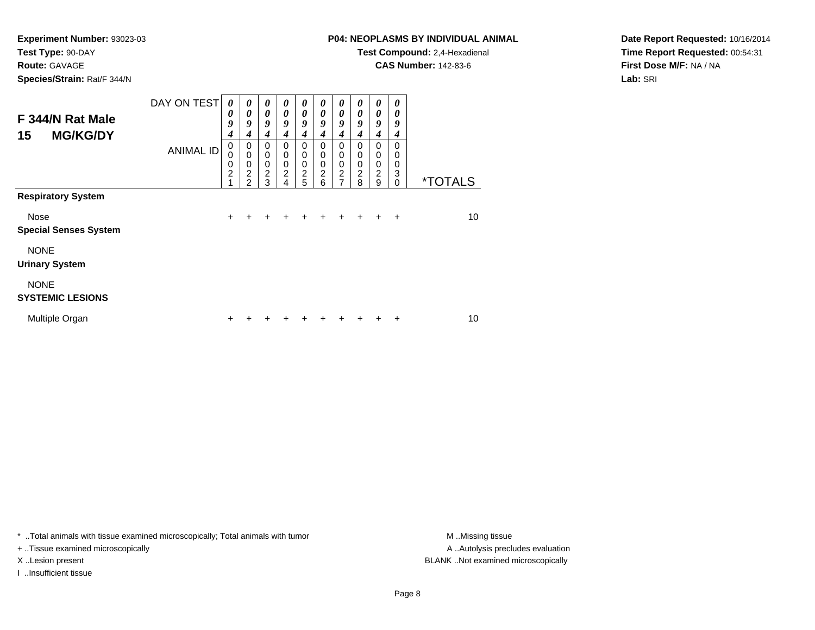**Route:** GAVAGE

**Species/Strain:** Rat/F 344/N

# **P04: NEOPLASMS BY INDIVIDUAL ANIMAL**

**Test Compound:** 2,4-Hexadienal

**CAS Number:** 142-83-6

**Date Report Requested:** 10/16/2014**Time Report Requested:** 00:54:31**First Dose M/F:** NA / NA**Lab:** SRI

| F 344/N Rat Male<br><b>MG/KG/DY</b><br>15 | DAY ON TEST      | $\boldsymbol{\theta}$<br>0<br>9<br>4    | 0<br>0<br>9<br>4                   | 0<br>$\theta$<br>9<br>4            | 0<br>0<br>9<br>4                                       | 0<br>$\boldsymbol{\theta}$<br>9<br>4 | 0<br>$\boldsymbol{\theta}$<br>9<br>4         | 0<br>$\boldsymbol{\theta}$<br>9<br>4                                | $\boldsymbol{\theta}$<br>0<br>9<br>4 | $\boldsymbol{\theta}$<br>$\theta$<br>9<br>$\overline{4}$ | 0<br>0<br>9<br>4                    |                       |
|-------------------------------------------|------------------|-----------------------------------------|------------------------------------|------------------------------------|--------------------------------------------------------|--------------------------------------|----------------------------------------------|---------------------------------------------------------------------|--------------------------------------|----------------------------------------------------------|-------------------------------------|-----------------------|
| <b>Respiratory System</b>                 | <b>ANIMAL ID</b> | $\mathbf 0$<br>0<br>0<br>$\overline{c}$ | 0<br>0<br>0<br>2<br>$\mathfrak{p}$ | 0<br>0<br>0<br>$\overline{c}$<br>3 | 0<br>$\mathbf 0$<br>$\mathbf 0$<br>$\overline{c}$<br>4 | 0<br>0<br>0<br>$\boldsymbol{2}$<br>5 | 0<br>$\mathbf 0$<br>0<br>$\overline{c}$<br>6 | 0<br>$\mathbf 0$<br>$\mathbf 0$<br>$\overline{c}$<br>$\overline{7}$ | 0<br>0<br>0<br>2<br>8                | 0<br>$\mathbf 0$<br>$\mathbf 0$<br>$\sqrt{2}$<br>9       | $\Omega$<br>0<br>0<br>3<br>$\Omega$ | <i><b>*TOTALS</b></i> |
|                                           |                  |                                         |                                    |                                    |                                                        |                                      |                                              |                                                                     |                                      |                                                          |                                     |                       |
| Nose<br><b>Special Senses System</b>      |                  | $\div$                                  |                                    |                                    |                                                        | +                                    | +                                            | +                                                                   | +                                    | +                                                        | $\ddot{}$                           | 10                    |
| <b>NONE</b><br><b>Urinary System</b>      |                  |                                         |                                    |                                    |                                                        |                                      |                                              |                                                                     |                                      |                                                          |                                     |                       |
| <b>NONE</b><br><b>SYSTEMIC LESIONS</b>    |                  |                                         |                                    |                                    |                                                        |                                      |                                              |                                                                     |                                      |                                                          |                                     |                       |
| Multiple Organ                            |                  | ٠                                       |                                    |                                    |                                                        |                                      |                                              |                                                                     |                                      |                                                          | +                                   | 10                    |

\* ..Total animals with tissue examined microscopically; Total animals with tumor **M** . Missing tissue M ..Missing tissue

+ ..Tissue examined microscopically

I ..Insufficient tissue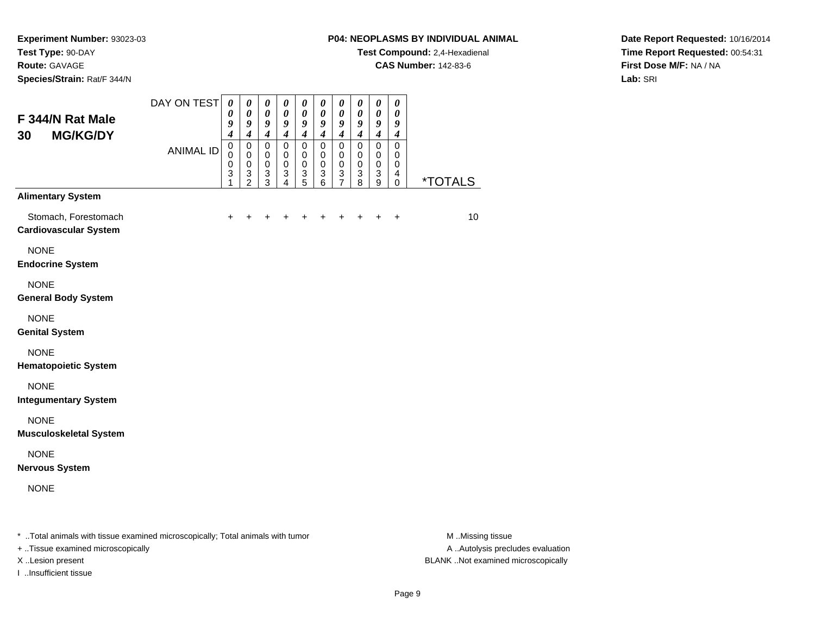**Species/Strain:** Rat/F 344/N

#### **P04: NEOPLASMS BY INDIVIDUAL ANIMAL**

**Test Compound:** 2,4-Hexadienal

**CAS Number:** 142-83-6

**Date Report Requested:** 10/16/2014**Time Report Requested:** 00:54:31**First Dose M/F:** NA / NA**Lab:** SRI

| F 344/N Rat Male<br><b>MG/KG/DY</b><br>30                                      | DAY ON TEST      | $\pmb{\theta}$<br>0<br>9<br>$\boldsymbol{4}$ | $\boldsymbol{\theta}$<br>$\boldsymbol{\theta}$<br>9<br>4 | 0<br>$\boldsymbol{\theta}$<br>9<br>$\boldsymbol{4}$           | $\pmb{\theta}$<br>0<br>9<br>$\boldsymbol{4}$         | 0<br>0<br>9<br>$\boldsymbol{4}$               | $\boldsymbol{\theta}$<br>$\boldsymbol{\theta}$<br>9<br>$\boldsymbol{4}$ | $\boldsymbol{\theta}$<br>$\boldsymbol{\theta}$<br>9<br>$\boldsymbol{4}$ | $\boldsymbol{\theta}$<br>0<br>9<br>$\boldsymbol{4}$ | $\pmb{\theta}$<br>$\boldsymbol{\theta}$<br>$\boldsymbol{g}$<br>$\boldsymbol{4}$ | 0<br>0<br>9<br>$\boldsymbol{4}$                  |                       |
|--------------------------------------------------------------------------------|------------------|----------------------------------------------|----------------------------------------------------------|---------------------------------------------------------------|------------------------------------------------------|-----------------------------------------------|-------------------------------------------------------------------------|-------------------------------------------------------------------------|-----------------------------------------------------|---------------------------------------------------------------------------------|--------------------------------------------------|-----------------------|
|                                                                                | <b>ANIMAL ID</b> | $\pmb{0}$<br>0<br>$\mathbf 0$<br>3<br>1      | 0<br>$\mathbf 0$<br>$\mathbf 0$<br>3<br>$\overline{2}$   | $\pmb{0}$<br>0<br>$\pmb{0}$<br>$\ensuremath{\mathsf{3}}$<br>3 | $\pmb{0}$<br>0<br>$\mathbf 0$<br>3<br>$\overline{4}$ | 0<br>0<br>0<br>$\ensuremath{\mathsf{3}}$<br>5 | 0<br>0<br>$\mathbf 0$<br>3<br>6                                         | $\mathbf 0$<br>0<br>$\mathbf 0$<br>3<br>$\overline{7}$                  | 0<br>0<br>$\pmb{0}$<br>3<br>8                       | $\mathbf 0$<br>$\mathbf 0$<br>$\mathbf 0$<br>$\ensuremath{\mathsf{3}}$<br>9     | $\mathbf 0$<br>0<br>$\mathbf 0$<br>4<br>$\Omega$ | <i><b>*TOTALS</b></i> |
| <b>Alimentary System</b>                                                       |                  |                                              |                                                          |                                                               |                                                      |                                               |                                                                         |                                                                         |                                                     |                                                                                 |                                                  |                       |
| Stomach, Forestomach<br><b>Cardiovascular System</b>                           |                  | $\ddot{}$                                    | $\pm$                                                    |                                                               | $\ddot{}$                                            |                                               | +                                                                       | ٠                                                                       | $\ddot{}$                                           | +                                                                               | $\ddot{}$                                        | 10                    |
| <b>NONE</b><br><b>Endocrine System</b>                                         |                  |                                              |                                                          |                                                               |                                                      |                                               |                                                                         |                                                                         |                                                     |                                                                                 |                                                  |                       |
| <b>NONE</b><br><b>General Body System</b>                                      |                  |                                              |                                                          |                                                               |                                                      |                                               |                                                                         |                                                                         |                                                     |                                                                                 |                                                  |                       |
| <b>NONE</b><br><b>Genital System</b>                                           |                  |                                              |                                                          |                                                               |                                                      |                                               |                                                                         |                                                                         |                                                     |                                                                                 |                                                  |                       |
| <b>NONE</b><br><b>Hematopoietic System</b>                                     |                  |                                              |                                                          |                                                               |                                                      |                                               |                                                                         |                                                                         |                                                     |                                                                                 |                                                  |                       |
| <b>NONE</b><br><b>Integumentary System</b>                                     |                  |                                              |                                                          |                                                               |                                                      |                                               |                                                                         |                                                                         |                                                     |                                                                                 |                                                  |                       |
| <b>NONE</b><br><b>Musculoskeletal System</b>                                   |                  |                                              |                                                          |                                                               |                                                      |                                               |                                                                         |                                                                         |                                                     |                                                                                 |                                                  |                       |
| <b>NONE</b><br><b>Nervous System</b>                                           |                  |                                              |                                                          |                                                               |                                                      |                                               |                                                                         |                                                                         |                                                     |                                                                                 |                                                  |                       |
| <b>NONE</b>                                                                    |                  |                                              |                                                          |                                                               |                                                      |                                               |                                                                         |                                                                         |                                                     |                                                                                 |                                                  |                       |
| * Total animals with tissue examined microscopically; Total animals with tumor |                  |                                              |                                                          |                                                               |                                                      |                                               |                                                                         |                                                                         |                                                     |                                                                                 |                                                  | M Missing tissue      |

+ ..Tissue examined microscopically

I ..Insufficient tissue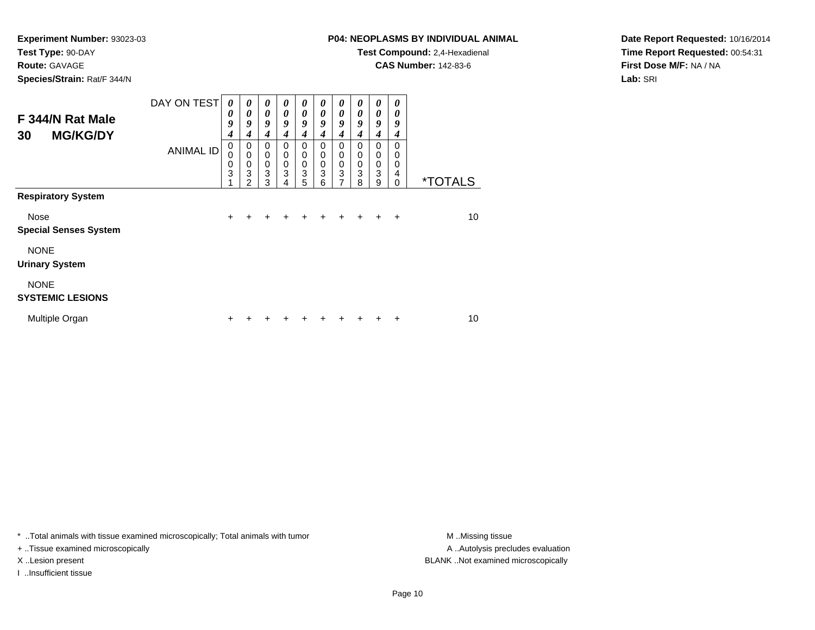**Route:** GAVAGE

**Species/Strain:** Rat/F 344/N

# **P04: NEOPLASMS BY INDIVIDUAL ANIMAL**

**Test Compound:** 2,4-Hexadienal

**CAS Number:** 142-83-6

**Date Report Requested:** 10/16/2014**Time Report Requested:** 00:54:31**First Dose M/F:** NA / NA**Lab:** SRI

| F 344/N Rat Male<br><b>MG/KG/DY</b><br>30   | DAY ON TEST      | $\boldsymbol{\theta}$<br>$\boldsymbol{\theta}$<br>9<br>$\boldsymbol{4}$ | $\boldsymbol{\theta}$<br>0<br>9<br>4        | 0<br>$\boldsymbol{\theta}$<br>9<br>4   | 0<br>$\boldsymbol{\theta}$<br>9<br>$\boldsymbol{4}$ | 0<br>$\boldsymbol{\theta}$<br>9<br>$\boldsymbol{4}$ | 0<br>$\boldsymbol{\theta}$<br>9<br>$\boldsymbol{4}$  | 0<br>$\boldsymbol{\theta}$<br>9<br>4      | 0<br>$\boldsymbol{\theta}$<br>9<br>4 | $\boldsymbol{\theta}$<br>$\boldsymbol{\theta}$<br>9<br>4 | 0<br>$\theta$<br>9<br>4             |                       |
|---------------------------------------------|------------------|-------------------------------------------------------------------------|---------------------------------------------|----------------------------------------|-----------------------------------------------------|-----------------------------------------------------|------------------------------------------------------|-------------------------------------------|--------------------------------------|----------------------------------------------------------|-------------------------------------|-----------------------|
|                                             | <b>ANIMAL ID</b> | $\mathbf 0$<br>$\Omega$<br>0<br>3                                       | 0<br>$\mathbf 0$<br>0<br>3<br>$\mathcal{P}$ | $\Omega$<br>0<br>$\mathbf 0$<br>3<br>3 | 0<br>$\mathbf 0$<br>$\mathbf 0$<br>3<br>4           | 0<br>0<br>0<br>3<br>5                               | 0<br>$\mathbf 0$<br>$\mathbf 0$<br>$\mathbf{3}$<br>6 | 0<br>$\mathbf 0$<br>$\mathbf 0$<br>3<br>7 | 0<br>0<br>0<br>3<br>8                | 0<br>$\mathbf 0$<br>$\mathbf 0$<br>$\mathbf{3}$<br>9     | $\Omega$<br>0<br>0<br>4<br>$\Omega$ | <i><b>*TOTALS</b></i> |
| <b>Respiratory System</b>                   |                  |                                                                         |                                             |                                        |                                                     |                                                     |                                                      |                                           |                                      |                                                          |                                     |                       |
| <b>Nose</b><br><b>Special Senses System</b> |                  | $\ddot{}$                                                               | +                                           | $\div$                                 | ÷                                                   | $\ddot{}$                                           | $\ddot{}$                                            | $\ddot{}$                                 | $\ddot{}$                            | $\ddot{}$                                                | $\ddot{}$                           | 10 <sup>1</sup>       |
| <b>NONE</b><br><b>Urinary System</b>        |                  |                                                                         |                                             |                                        |                                                     |                                                     |                                                      |                                           |                                      |                                                          |                                     |                       |
| <b>NONE</b><br><b>SYSTEMIC LESIONS</b>      |                  |                                                                         |                                             |                                        |                                                     |                                                     |                                                      |                                           |                                      |                                                          |                                     |                       |
| Multiple Organ                              |                  | ÷                                                                       |                                             |                                        |                                                     |                                                     |                                                      | ٠                                         |                                      | ٠                                                        | ٠                                   | 10                    |

\* ..Total animals with tissue examined microscopically; Total animals with tumor **M** . Missing tissue M ..Missing tissue

+ ..Tissue examined microscopically

I ..Insufficient tissue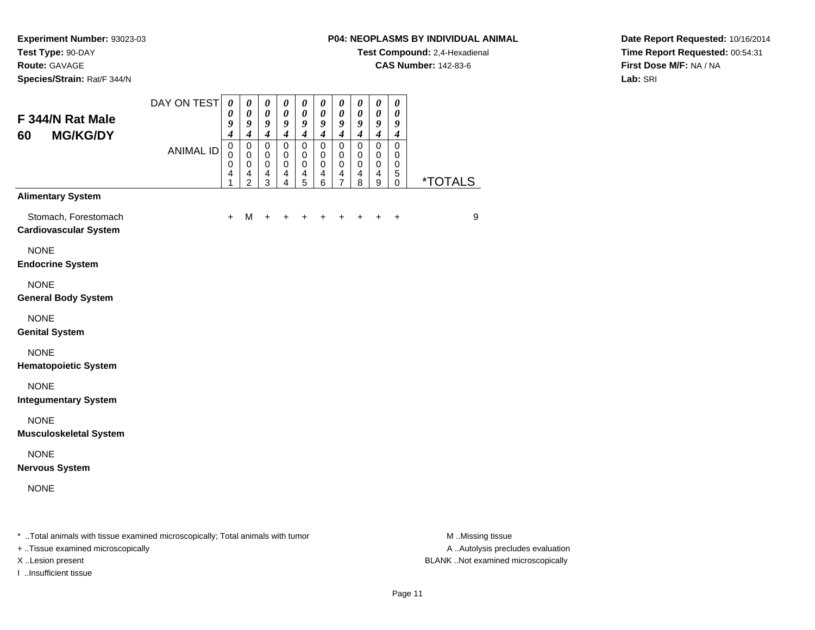**Species/Strain:** Rat/F 344/N

#### **P04: NEOPLASMS BY INDIVIDUAL ANIMAL**

**Test Compound:** 2,4-Hexadienal

**CAS Number:** 142-83-6

**Date Report Requested:** 10/16/2014**Time Report Requested:** 00:54:31**First Dose M/F:** NA / NA**Lab:** SRI

| 60 | F 344/N Rat Male<br><b>MG/KG/DY</b>                                            | DAY ON TEST      | 0<br>0<br>9<br>4      | 0<br>0<br>9<br>$\boldsymbol{4}$            | 0<br>$\boldsymbol{\theta}$<br>$\boldsymbol{g}$<br>$\boldsymbol{4}$ | 0<br>$\boldsymbol{\theta}$<br>9<br>$\boldsymbol{4}$ | 0<br>0<br>9<br>$\boldsymbol{4}$ | 0<br>$\boldsymbol{\theta}$<br>9<br>$\boldsymbol{4}$ | 0<br>0<br>9<br>$\boldsymbol{4}$    | 0<br>0<br>9<br>$\boldsymbol{4}$         | 0<br>0<br>9<br>$\boldsymbol{4}$           | 0<br>0<br>9<br>4                                |                       |
|----|--------------------------------------------------------------------------------|------------------|-----------------------|--------------------------------------------|--------------------------------------------------------------------|-----------------------------------------------------|---------------------------------|-----------------------------------------------------|------------------------------------|-----------------------------------------|-------------------------------------------|-------------------------------------------------|-----------------------|
|    |                                                                                | <b>ANIMAL ID</b> | 0<br>0<br>0<br>4<br>1 | 0<br>0<br>$\pmb{0}$<br>4<br>$\overline{2}$ | $\mathbf 0$<br>0<br>$\mathbf 0$<br>4<br>3                          | $\mathsf 0$<br>0<br>0<br>4<br>$\overline{4}$        | 0<br>0<br>0<br>$\frac{4}{5}$    | $\mathbf 0$<br>0<br>$\mathbf 0$<br>4<br>6           | 0<br>0<br>0<br>4<br>$\overline{7}$ | $\mathbf 0$<br>0<br>$\pmb{0}$<br>4<br>8 | $\mathbf 0$<br>0<br>$\mathbf 0$<br>4<br>9 | $\mathbf 0$<br>0<br>$\,0\,$<br>5<br>$\mathbf 0$ | <i><b>*TOTALS</b></i> |
|    | <b>Alimentary System</b>                                                       |                  |                       |                                            |                                                                    |                                                     |                                 |                                                     |                                    |                                         |                                           |                                                 |                       |
|    | Stomach, Forestomach<br><b>Cardiovascular System</b>                           |                  | $\ddot{}$             | M                                          | $\ddot{}$                                                          |                                                     |                                 |                                                     |                                    |                                         | ÷                                         | $\ddot{}$                                       | 9                     |
|    | <b>NONE</b><br><b>Endocrine System</b>                                         |                  |                       |                                            |                                                                    |                                                     |                                 |                                                     |                                    |                                         |                                           |                                                 |                       |
|    | <b>NONE</b><br><b>General Body System</b>                                      |                  |                       |                                            |                                                                    |                                                     |                                 |                                                     |                                    |                                         |                                           |                                                 |                       |
|    | <b>NONE</b><br><b>Genital System</b>                                           |                  |                       |                                            |                                                                    |                                                     |                                 |                                                     |                                    |                                         |                                           |                                                 |                       |
|    | <b>NONE</b><br><b>Hematopoietic System</b>                                     |                  |                       |                                            |                                                                    |                                                     |                                 |                                                     |                                    |                                         |                                           |                                                 |                       |
|    | <b>NONE</b><br><b>Integumentary System</b>                                     |                  |                       |                                            |                                                                    |                                                     |                                 |                                                     |                                    |                                         |                                           |                                                 |                       |
|    | <b>NONE</b><br><b>Musculoskeletal System</b>                                   |                  |                       |                                            |                                                                    |                                                     |                                 |                                                     |                                    |                                         |                                           |                                                 |                       |
|    | <b>NONE</b><br><b>Nervous System</b>                                           |                  |                       |                                            |                                                                    |                                                     |                                 |                                                     |                                    |                                         |                                           |                                                 |                       |
|    | <b>NONE</b>                                                                    |                  |                       |                                            |                                                                    |                                                     |                                 |                                                     |                                    |                                         |                                           |                                                 |                       |
|    | * Total animals with tissue examined microscopically; Total animals with tumor |                  |                       |                                            |                                                                    |                                                     |                                 |                                                     |                                    |                                         |                                           |                                                 | M Missing tissue      |

+ ..Tissue examined microscopically

I ..Insufficient tissue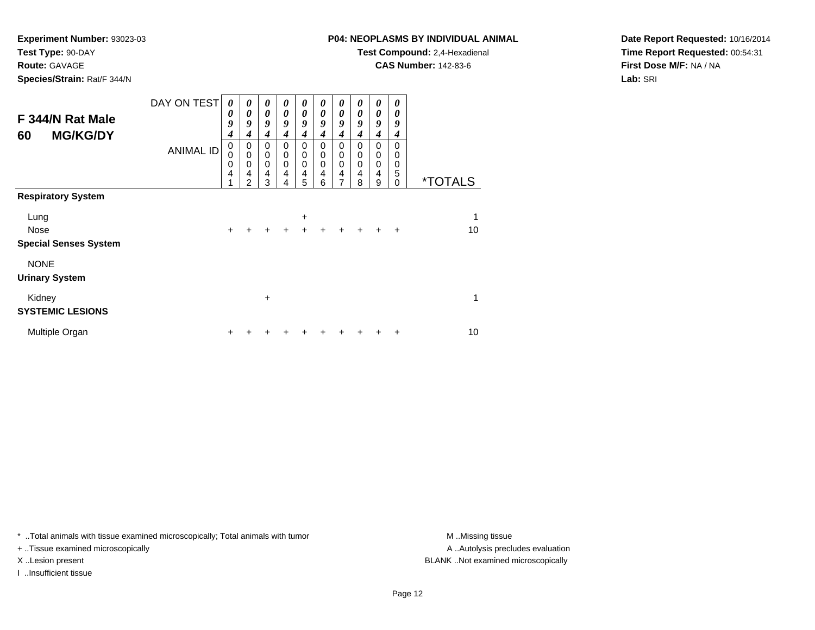**Route:** GAVAGE

**Species/Strain:** Rat/F 344/N

# **P04: NEOPLASMS BY INDIVIDUAL ANIMAL**

**Test Compound:** 2,4-Hexadienal

**CAS Number:** 142-83-6

**Date Report Requested:** 10/16/2014**Time Report Requested:** 00:54:31**First Dose M/F:** NA / NA**Lab:** SRI

| F 344/N Rat Male<br><b>MG/KG/DY</b><br>60 | DAY ON TEST      | 0<br>0<br>9<br>4<br>0 | 0<br>$\boldsymbol{\theta}$<br>9<br>4<br>0                      | 0<br>0<br>9<br>4<br>$\mathbf 0$                   | 0<br>0<br>9<br>4<br>0      | 0<br>$\boldsymbol{\theta}$<br>9<br>$\boldsymbol{4}$<br>0 | 0<br>0<br>9<br>$\boldsymbol{4}$<br>0 | 0<br>$\boldsymbol{\theta}$<br>9<br>$\boldsymbol{4}$<br>0 | 0<br>0<br>9<br>$\boldsymbol{4}$<br>0 | 0<br>0<br>9<br>$\boldsymbol{4}$<br>0 | 0<br>0<br>9<br>$\boldsymbol{4}$<br>0      |                       |
|-------------------------------------------|------------------|-----------------------|----------------------------------------------------------------|---------------------------------------------------|----------------------------|----------------------------------------------------------|--------------------------------------|----------------------------------------------------------|--------------------------------------|--------------------------------------|-------------------------------------------|-----------------------|
| <b>Respiratory System</b>                 | <b>ANIMAL ID</b> | 0<br>0<br>4           | $\mathbf 0$<br>$\mathbf 0$<br>$\overline{4}$<br>$\overline{2}$ | $\mathbf 0$<br>$\mathbf 0$<br>$\overline{4}$<br>3 | $\mathbf 0$<br>0<br>4<br>4 | 0<br>$\mathbf 0$<br>4<br>5                               | $\mathbf 0$<br>0<br>4<br>6           | $\mathbf 0$<br>$\mathbf 0$<br>$\overline{4}$<br>7        | $\boldsymbol{0}$<br>0<br>4<br>8      | 0<br>$\mathbf 0$<br>4<br>9           | 0<br>$\boldsymbol{0}$<br>5<br>$\mathbf 0$ | <i><b>*TOTALS</b></i> |
|                                           |                  |                       |                                                                |                                                   |                            |                                                          |                                      |                                                          |                                      |                                      |                                           |                       |
| Lung                                      |                  |                       |                                                                |                                                   |                            | $\ddot{}$                                                |                                      |                                                          |                                      |                                      |                                           | 1                     |
| Nose<br><b>Special Senses System</b>      |                  | $\ddot{}$             |                                                                |                                                   | $\div$                     | $\ddot{}$                                                | +                                    | $\ddot{}$                                                | $\ddot{}$                            | $\div$                               | $\ddot{}$                                 | 10                    |
| <b>NONE</b><br><b>Urinary System</b>      |                  |                       |                                                                |                                                   |                            |                                                          |                                      |                                                          |                                      |                                      |                                           |                       |
| Kidney<br><b>SYSTEMIC LESIONS</b>         |                  |                       |                                                                | $\ddot{}$                                         |                            |                                                          |                                      |                                                          |                                      |                                      |                                           | 1                     |
| Multiple Organ                            |                  |                       |                                                                |                                                   |                            |                                                          |                                      |                                                          |                                      | ٠                                    | ÷                                         | 10                    |

\* ..Total animals with tissue examined microscopically; Total animals with tumor **M** . Missing tissue M ..Missing tissue

+ ..Tissue examined microscopically

I ..Insufficient tissue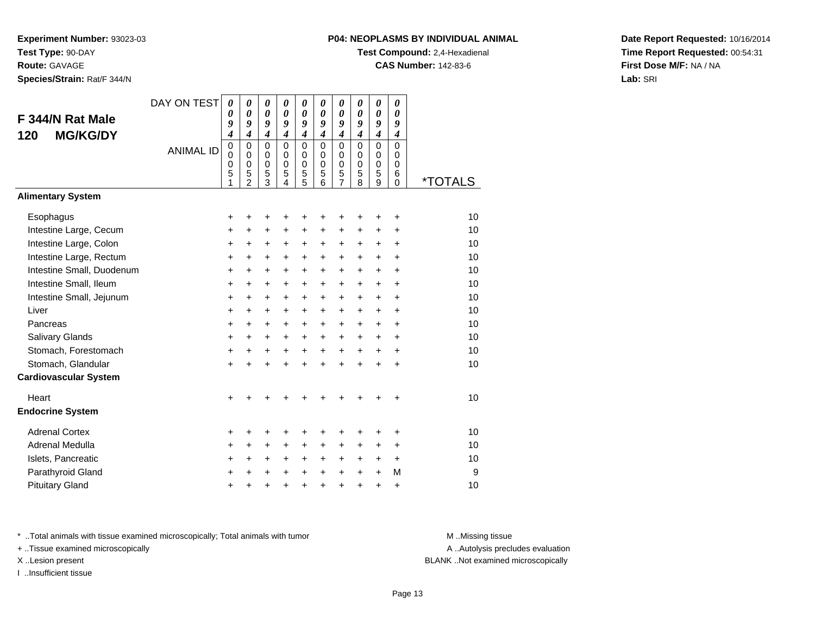**Species/Strain:** Rat/F 344/N

# **P04: NEOPLASMS BY INDIVIDUAL ANIMAL**

**Test Compound:** 2,4-Hexadienal

**CAS Number:** 142-83-6

**Date Report Requested:** 10/16/2014**Time Report Requested:** 00:54:31**First Dose M/F:** NA / NA**Lab:** SRI

|                              | DAY ON TEST      | 0                               | 0                                                                | 0                                                                | 0                                                      | 0                                         | 0                                                   | 0                                                      | 0                                                | 0                                                | 0                                                             |                       |
|------------------------------|------------------|---------------------------------|------------------------------------------------------------------|------------------------------------------------------------------|--------------------------------------------------------|-------------------------------------------|-----------------------------------------------------|--------------------------------------------------------|--------------------------------------------------|--------------------------------------------------|---------------------------------------------------------------|-----------------------|
| F 344/N Rat Male             |                  | 0<br>9                          | 0<br>9                                                           | 0<br>9                                                           | 0<br>9                                                 | 0<br>9                                    | 0<br>9                                              | 0<br>9                                                 | 0<br>$\boldsymbol{g}$                            | 0<br>9                                           | 0<br>9                                                        |                       |
| <b>MG/KG/DY</b><br>120       |                  | $\boldsymbol{4}$                | $\overline{\boldsymbol{4}}$                                      | $\boldsymbol{4}$                                                 | $\boldsymbol{4}$                                       | $\boldsymbol{4}$                          | $\boldsymbol{4}$                                    | $\boldsymbol{4}$                                       | $\boldsymbol{4}$                                 | $\boldsymbol{4}$                                 | $\boldsymbol{4}$                                              |                       |
|                              | <b>ANIMAL ID</b> | $\mathbf 0$<br>0<br>0<br>5<br>1 | $\mathbf 0$<br>$\mathbf 0$<br>$\mathbf 0$<br>5<br>$\overline{2}$ | $\mathbf 0$<br>$\mathbf 0$<br>0<br>$\mathbf 5$<br>$\overline{3}$ | $\mathbf 0$<br>0<br>$\mathbf 0$<br>5<br>$\overline{4}$ | $\mathbf 0$<br>$\mathbf 0$<br>0<br>5<br>5 | $\mathbf 0$<br>$\mathbf 0$<br>$\mathbf 0$<br>5<br>6 | 0<br>$\mathbf 0$<br>$\mathbf 0$<br>5<br>$\overline{7}$ | $\mathbf 0$<br>$\Omega$<br>$\mathbf 0$<br>5<br>8 | $\mathbf 0$<br>$\Omega$<br>$\mathbf 0$<br>5<br>9 | $\mathbf 0$<br>$\mathbf 0$<br>$\mathbf 0$<br>6<br>$\mathbf 0$ | <i><b>*TOTALS</b></i> |
| <b>Alimentary System</b>     |                  |                                 |                                                                  |                                                                  |                                                        |                                           |                                                     |                                                        |                                                  |                                                  |                                                               |                       |
| Esophagus                    |                  | $\pm$                           | +                                                                | ٠                                                                | +                                                      | +                                         |                                                     |                                                        | ٠                                                | +                                                | $\ddot{}$                                                     | 10                    |
| Intestine Large, Cecum       |                  | $\ddot{}$                       | $\ddot{}$                                                        | +                                                                | +                                                      | +                                         | $\ddot{}$                                           | +                                                      | $\ddot{}$                                        | $\ddot{}$                                        | +                                                             | 10                    |
| Intestine Large, Colon       |                  | +                               | $\ddot{}$                                                        | $\ddot{}$                                                        | $\ddot{}$                                              | $\ddot{}$                                 | $\ddot{}$                                           | $\ddot{}$                                              | $\ddot{}$                                        | $\ddot{}$                                        | $\ddot{}$                                                     | 10                    |
| Intestine Large, Rectum      |                  | +                               | $\ddot{}$                                                        | $\pm$                                                            | $\ddot{}$                                              | $\ddot{}$                                 | $+$                                                 | $\ddot{}$                                              | $\ddot{}$                                        | $\ddot{}$                                        | $\ddot{}$                                                     | 10                    |
| Intestine Small, Duodenum    |                  | $\ddot{}$                       | $\ddot{}$                                                        | $\ddot{}$                                                        | $\ddot{}$                                              | $\ddot{}$                                 | $+$                                                 | $+$                                                    | $\ddot{}$                                        | $\ddot{}$                                        | $\ddot{}$                                                     | 10                    |
| Intestine Small, Ileum       |                  | +                               | $\pm$                                                            | $\ddot{}$                                                        | $\ddot{}$                                              | +                                         | $\ddot{}$                                           | $\ddot{}$                                              | $\ddot{}$                                        | +                                                | $\ddot{}$                                                     | 10                    |
| Intestine Small, Jejunum     |                  | +                               | $\ddot{}$                                                        | +                                                                | $\ddot{}$                                              | +                                         | $\ddot{}$                                           | $\ddot{}$                                              | $\ddot{}$                                        | +                                                | $\ddot{}$                                                     | 10                    |
| Liver                        |                  | +                               | $\ddot{}$                                                        | $\ddot{}$                                                        | $\ddot{}$                                              | $\ddot{}$                                 | $\ddot{}$                                           | $\ddot{}$                                              | $\ddot{}$                                        | $\ddot{}$                                        | $\ddot{}$                                                     | 10                    |
| Pancreas                     |                  | $\ddot{}$                       | $\ddot{}$                                                        | $\ddot{}$                                                        | $\ddot{}$                                              | $\ddot{}$                                 | $\ddot{}$                                           | $\ddot{}$                                              | $\ddot{}$                                        | +                                                | +                                                             | 10                    |
| Salivary Glands              |                  | +                               | $\ddot{}$                                                        | $\ddot{}$                                                        | $\ddot{}$                                              | $\ddot{}$                                 | $\ddot{}$                                           | $\ddot{}$                                              | $\ddot{}$                                        | +                                                | +                                                             | 10                    |
| Stomach, Forestomach         |                  | +                               | $\ddot{}$                                                        | $\pm$                                                            | $\ddot{}$                                              | $\ddot{}$                                 | $\ddot{}$                                           | $\ddot{}$                                              | $\ddot{}$                                        | +                                                | $\ddot{}$                                                     | 10                    |
| Stomach, Glandular           |                  | +                               | $\ddot{}$                                                        | $\ddot{}$                                                        | $\ddot{}$                                              | $\ddot{}$                                 | $\ddot{}$                                           | $\ddot{}$                                              | $\ddot{}$                                        | $\ddot{}$                                        | $\ddot{}$                                                     | 10                    |
| <b>Cardiovascular System</b> |                  |                                 |                                                                  |                                                                  |                                                        |                                           |                                                     |                                                        |                                                  |                                                  |                                                               |                       |
| Heart                        |                  | $\ddot{}$                       |                                                                  |                                                                  |                                                        |                                           |                                                     |                                                        |                                                  |                                                  | +                                                             | 10                    |
| <b>Endocrine System</b>      |                  |                                 |                                                                  |                                                                  |                                                        |                                           |                                                     |                                                        |                                                  |                                                  |                                                               |                       |
| <b>Adrenal Cortex</b>        |                  | +                               | ٠                                                                | ٠                                                                | +                                                      | +                                         |                                                     |                                                        | ٠                                                | +                                                | $\ddot{}$                                                     | 10                    |
| <b>Adrenal Medulla</b>       |                  | +                               | $\pm$                                                            | +                                                                | +                                                      | +                                         | $\ddot{}$                                           | +                                                      | +                                                | +                                                | $\ddot{}$                                                     | 10                    |
| Islets, Pancreatic           |                  | +                               | $\ddot{}$                                                        | $\ddot{}$                                                        | $\ddot{}$                                              | +                                         | $\ddot{}$                                           | +                                                      | $\ddot{}$                                        | $\ddot{}$                                        | $\ddot{}$                                                     | 10                    |
| Parathyroid Gland            |                  | +                               | +                                                                | $\pm$                                                            | +                                                      | $\ddot{}$                                 | $\ddot{}$                                           | $\pm$                                                  | $\ddot{}$                                        | $\ddot{}$                                        | м                                                             | 9                     |
| <b>Pituitary Gland</b>       |                  | +                               | +                                                                | $\ddot{}$                                                        | +                                                      | $\ddot{}$                                 | $\ddot{}$                                           | $\ddot{}$                                              | $\ddot{}$                                        | $\ddot{}$                                        | $\ddot{}$                                                     | 10                    |

\* ..Total animals with tissue examined microscopically; Total animals with tumor **M** . Missing tissue M ..Missing tissue

+ ..Tissue examined microscopically

I ..Insufficient tissue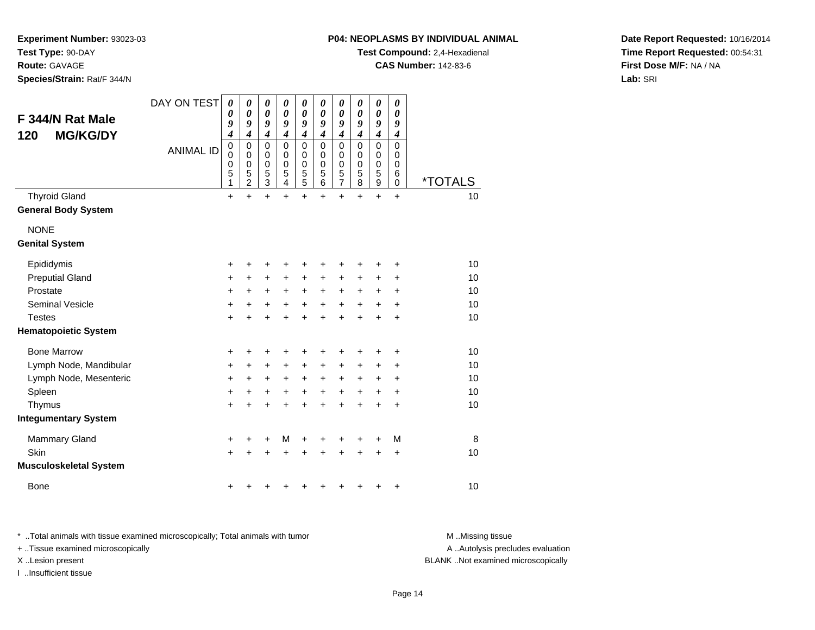**P04: NEOPLASMS BY INDIVIDUAL ANIMAL**

**Test Compound:** 2,4-Hexadienal

**CAS Number:** 142-83-6

**Date Report Requested:** 10/16/2014**Time Report Requested:** 00:54:31**First Dose M/F:** NA / NA**Lab:** SRI

**Experiment Number:** 93023-03

**Species/Strain:** Rat/F 344/N

**Test Type:** 90-DAY**Route:** GAVAGE

|                               | DAY ON TEST      | 0                          | 0                          | 0                          | 0                          | 0                                          | 0                | 0                                          | 0                | 0                          | 0         |                       |
|-------------------------------|------------------|----------------------------|----------------------------|----------------------------|----------------------------|--------------------------------------------|------------------|--------------------------------------------|------------------|----------------------------|-----------|-----------------------|
| F 344/N Rat Male              |                  | 0<br>9                     | $\boldsymbol{\theta}$<br>9 | $\boldsymbol{\theta}$<br>9 | $\boldsymbol{\theta}$<br>9 | $\boldsymbol{\theta}$<br>9                 | 0<br>9           | $\boldsymbol{\theta}$<br>9                 | 0<br>9           | $\boldsymbol{\theta}$<br>9 | 0<br>9    |                       |
| <b>MG/KG/DY</b><br>120        |                  | $\boldsymbol{4}$           | $\boldsymbol{4}$           | $\boldsymbol{4}$           | $\boldsymbol{4}$           | $\boldsymbol{4}$                           | 4                | $\boldsymbol{4}$                           | $\boldsymbol{4}$ | 4                          | 4         |                       |
|                               | <b>ANIMAL ID</b> | $\mathbf 0$<br>$\mathbf 0$ | $\mathbf 0$<br>$\mathbf 0$ | $\mathbf 0$<br>$\mathbf 0$ | $\mathbf 0$<br>0           | $\mathbf 0$<br>0                           | $\mathbf 0$<br>0 | $\mathbf 0$<br>0                           | $\mathbf 0$<br>0 | 0<br>0                     | 0<br>0    |                       |
|                               |                  | 0                          | 0                          | $\boldsymbol{0}$           | 0                          |                                            | 0                |                                            | 0                | 0                          | 0         |                       |
|                               |                  | 5<br>1                     | 5<br>$\overline{2}$        | 5<br>$\overline{3}$        | 5<br>4                     | $\begin{array}{c} 0 \\ 5 \\ 5 \end{array}$ | 5<br>6           | $\begin{array}{c} 0 \\ 5 \\ 7 \end{array}$ | 5<br>8           | 5<br>9                     | 6<br>0    | <i><b>*TOTALS</b></i> |
| <b>Thyroid Gland</b>          |                  | $\ddot{}$                  | $\ddot{}$                  | $\ddot{}$                  | $\ddot{}$                  | $\ddot{}$                                  | $\ddot{}$        | $\ddot{}$                                  | $\ddot{}$        | $\ddot{}$                  | $\ddot{}$ | 10                    |
| <b>General Body System</b>    |                  |                            |                            |                            |                            |                                            |                  |                                            |                  |                            |           |                       |
| <b>NONE</b>                   |                  |                            |                            |                            |                            |                                            |                  |                                            |                  |                            |           |                       |
| <b>Genital System</b>         |                  |                            |                            |                            |                            |                                            |                  |                                            |                  |                            |           |                       |
| Epididymis                    |                  | +                          | +                          | +                          |                            | +                                          |                  | +                                          |                  | +                          | +         | 10                    |
| <b>Preputial Gland</b>        |                  | +                          | +                          | +                          | +                          | $\ddot{}$                                  | +                | +                                          | ÷                | +                          | ٠         | 10                    |
| Prostate                      |                  | +                          | +                          | +                          | +                          | $\ddot{}$                                  | +                | +                                          | +                | +                          | +         | 10                    |
| <b>Seminal Vesicle</b>        |                  | +                          | +                          | +                          | +                          | +                                          | +                | +                                          | +                | +                          | +         | 10                    |
| <b>Testes</b>                 |                  | $\ddot{}$                  | $\ddot{}$                  | $\ddot{}$                  | $\ddot{}$                  | $\ddot{}$                                  | $\ddot{}$        | $\ddot{}$                                  | $\ddot{}$        | $\ddot{}$                  | $\ddot{}$ | 10                    |
| <b>Hematopoietic System</b>   |                  |                            |                            |                            |                            |                                            |                  |                                            |                  |                            |           |                       |
| <b>Bone Marrow</b>            |                  | +                          | ٠                          | +                          | +                          | ٠                                          |                  | +                                          | ٠                | +                          | +         | 10                    |
| Lymph Node, Mandibular        |                  | $\ddot{}$                  | +                          | $\ddot{}$                  | +                          | $\ddot{}$                                  | $\ddot{}$        | $\ddot{}$                                  | +                | $\pm$                      | +         | 10                    |
| Lymph Node, Mesenteric        |                  | +                          | +                          | +                          | +                          | $\ddot{}$                                  | +                | +                                          | +                | +                          | +         | 10                    |
| Spleen                        |                  | +                          | +                          | +                          | +                          | $\ddot{}$                                  | $\pm$            | $\pm$                                      | $\ddot{}$        | $\pm$                      | +         | 10                    |
| Thymus                        |                  | $\ddot{}$                  | $\ddot{}$                  | $\ddot{}$                  | $\ddot{}$                  | $\ddot{}$                                  | $\ddot{}$        | $\ddot{}$                                  | $\ddot{}$        | +                          | $\ddot{}$ | 10                    |
| <b>Integumentary System</b>   |                  |                            |                            |                            |                            |                                            |                  |                                            |                  |                            |           |                       |
| Mammary Gland                 |                  | +                          | ٠                          | +                          | М                          | +                                          |                  | +                                          | +                | +                          | М         | 8                     |
| Skin                          |                  | $\ddot{}$                  |                            | +                          |                            |                                            |                  | +                                          | +                | +                          | +         | 10                    |
| <b>Musculoskeletal System</b> |                  |                            |                            |                            |                            |                                            |                  |                                            |                  |                            |           |                       |
| <b>Bone</b>                   |                  | +                          | ٠                          | +                          |                            |                                            |                  |                                            |                  | +                          | +         | 10                    |

\* ..Total animals with tissue examined microscopically; Total animals with tumor **M** . Missing tissue M ..Missing tissue

+ ..Tissue examined microscopically

I ..Insufficient tissue

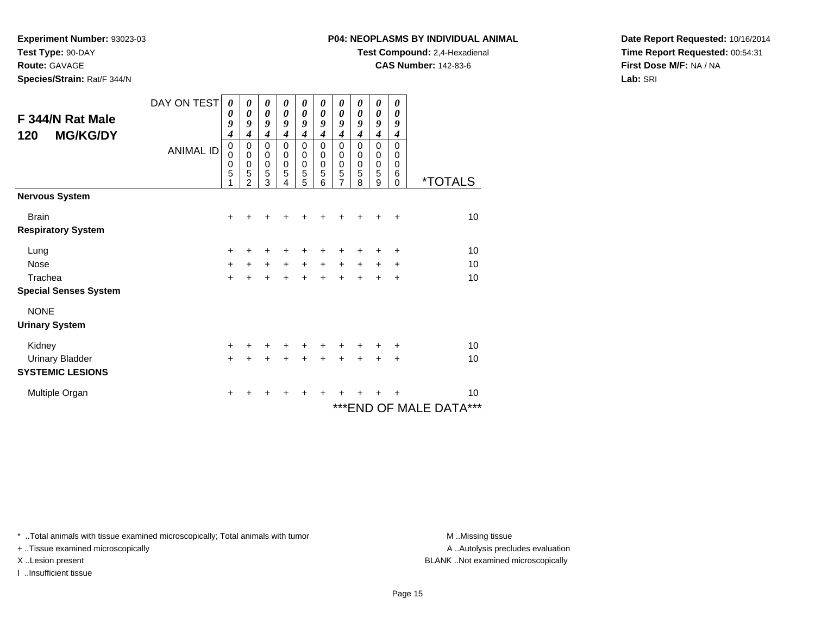**Experiment Number:** 93023-03

**Test Type:** 90-DAY**Route:** GAVAGE

**Species/Strain:** Rat/F 344/N

#### **P04: NEOPLASMS BY INDIVIDUAL ANIMAL**

**Test Compound:** 2,4-Hexadienal

**CAS Number:** 142-83-6

**Date Report Requested:** 10/16/2014**Time Report Requested:** 00:54:31**First Dose M/F:** NA / NA**Lab:** SRI

| F 344/N Rat Male<br><b>MG/KG/DY</b><br>120 | DAY ON TEST<br><b>ANIMAL ID</b> | 0<br>0<br>9<br>4<br>0<br>0 | 0<br>0<br>9<br>4<br>0<br>$\mathbf 0$ | 0<br>0<br>9<br>$\boldsymbol{4}$<br>$\mathbf 0$<br>0 | 0<br>0<br>9<br>4<br>0<br>0 | 0<br>0<br>9<br>$\overline{\boldsymbol{4}}$<br>0<br>0 | 0<br>$\boldsymbol{\theta}$<br>9<br>4<br>0<br>$\mathbf 0$ | 0<br>$\boldsymbol{\theta}$<br>9<br>$\boldsymbol{4}$<br>$\mathbf 0$<br>$\mathbf 0$ | 0<br>0<br>9<br>$\boldsymbol{4}$<br>0<br>0 | 0<br>0<br>9<br>$\boldsymbol{4}$<br>$\mathbf 0$<br>$\pmb{0}$ | 0<br>0<br>9<br>$\boldsymbol{4}$<br>$\Omega$<br>$\Omega$ |                              |
|--------------------------------------------|---------------------------------|----------------------------|--------------------------------------|-----------------------------------------------------|----------------------------|------------------------------------------------------|----------------------------------------------------------|-----------------------------------------------------------------------------------|-------------------------------------------|-------------------------------------------------------------|---------------------------------------------------------|------------------------------|
|                                            |                                 | 0<br>5<br>4                | 0<br>5<br>$\mathfrak{p}$             | $\mathbf 0$<br>5<br>3                               | 0<br>5<br>4                | $\mathbf 0$<br>5<br>5                                | 0<br>5<br>6                                              | $\mathbf 0$<br>5<br>7                                                             | 0<br>5<br>8                               | $\pmb{0}$<br>$\sqrt{5}$<br>9                                | 0<br>6<br>$\Omega$                                      | <i><b>*TOTALS</b></i>        |
| <b>Nervous System</b>                      |                                 |                            |                                      |                                                     |                            |                                                      |                                                          |                                                                                   |                                           |                                                             |                                                         |                              |
| <b>Brain</b><br><b>Respiratory System</b>  |                                 | $\ddot{}$                  |                                      |                                                     |                            |                                                      |                                                          |                                                                                   |                                           |                                                             | +                                                       | 10                           |
| Lung<br><b>Nose</b>                        |                                 | +<br>$\ddot{}$             | $+$                                  | +<br>$\ddot{}$                                      | +<br>$+$                   | +<br>$\ddot{}$                                       | +<br>$\ddot{}$                                           | +<br>$\ddot{}$                                                                    | +<br>$+$                                  | +<br>$\ddot{}$                                              | $\ddot{}$<br>$\ddot{}$                                  | 10<br>10                     |
| Trachea<br><b>Special Senses System</b>    |                                 | $\ddot{}$                  |                                      | $\ddot{}$                                           | $\ddot{}$                  | $\ddot{}$                                            | $\ddot{}$                                                | $\ddot{}$                                                                         | $\ddot{}$                                 | $\ddot{}$                                                   | $\ddot{}$                                               | 10                           |
| <b>NONE</b><br><b>Urinary System</b>       |                                 |                            |                                      |                                                     |                            |                                                      |                                                          |                                                                                   |                                           |                                                             |                                                         |                              |
| Kidney<br><b>Urinary Bladder</b>           |                                 | $\ddot{}$<br>$\ddot{}$     | +                                    | ٠<br>+                                              | ٠<br>+                     | +<br>$\ddot{}$                                       | +<br>+                                                   | +<br>+                                                                            | +                                         | ٠<br>$\ddot{}$                                              | ÷<br>$\ddot{}$                                          | 10<br>10                     |
| <b>SYSTEMIC LESIONS</b>                    |                                 |                            |                                      |                                                     |                            |                                                      |                                                          |                                                                                   |                                           |                                                             |                                                         |                              |
| Multiple Organ                             |                                 | +                          |                                      |                                                     |                            | +                                                    |                                                          |                                                                                   |                                           |                                                             |                                                         | 10<br>***END OF MALE DATA*** |

\* ..Total animals with tissue examined microscopically; Total animals with tumor **M** . Missing tissue M ..Missing tissue

+ ..Tissue examined microscopically

I ..Insufficient tissue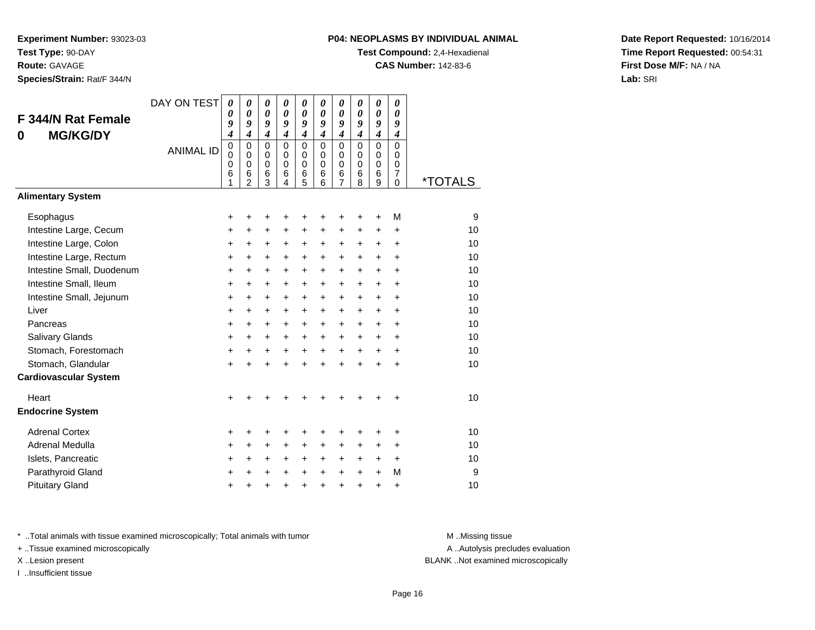**Route:** GAVAGE

**Species/Strain:** Rat/F 344/N

#### **P04: NEOPLASMS BY INDIVIDUAL ANIMAL**

**Test Compound:** 2,4-Hexadienal

**CAS Number:** 142-83-6

**Date Report Requested:** 10/16/2014**Time Report Requested:** 00:54:31**First Dose M/F:** NA / NA**Lab:** SRI

| F 344/N Rat Female<br><b>MG/KG/DY</b><br>0                                                                                                                                                                                                  | DAY ON TEST<br><b>ANIMAL ID</b> | $\boldsymbol{\theta}$<br>0<br>9<br>$\boldsymbol{4}$<br>$\pmb{0}$<br>$\mathbf{0}$<br>0<br>6<br>1        | 0<br>$\boldsymbol{\theta}$<br>9<br>$\overline{\boldsymbol{4}}$<br>$\mathbf 0$<br>$\Omega$<br>$\mathbf 0$<br>6<br>$\overline{2}$ | 0<br>$\boldsymbol{\theta}$<br>9<br>$\overline{\boldsymbol{4}}$<br>$\mathbf 0$<br>$\Omega$<br>$\mathbf 0$<br>6<br>3 | 0<br>$\boldsymbol{\theta}$<br>9<br>$\boldsymbol{4}$<br>$\mathbf 0$<br>$\Omega$<br>$\mathbf 0$<br>6<br>4 | 0<br>$\boldsymbol{\theta}$<br>9<br>$\overline{\mathbf{4}}$<br>0<br>0<br>0<br>6<br>5 | 0<br>0<br>9<br>$\overline{\boldsymbol{4}}$<br>0<br>$\Omega$<br>$\mathbf 0$<br>6<br>6                                | 0<br>$\theta$<br>9<br>$\overline{\boldsymbol{4}}$<br>$\mathbf 0$<br>0<br>$\mathbf 0$<br>6<br>7      | 0<br>0<br>9<br>$\overline{\boldsymbol{4}}$<br>$\mathbf 0$<br>0<br>$\mathbf 0$<br>6<br>8                       | 0<br>$\boldsymbol{\theta}$<br>9<br>$\overline{\boldsymbol{4}}$<br>$\mathbf 0$<br>$\mathbf 0$<br>$\mathbf 0$<br>6<br>9 | 0<br>0<br>9<br>$\boldsymbol{4}$<br>$\mathbf 0$<br>$\Omega$<br>0<br>$\overline{7}$<br>$\Omega$  | <i><b>*TOTALS</b></i>                                         |
|---------------------------------------------------------------------------------------------------------------------------------------------------------------------------------------------------------------------------------------------|---------------------------------|--------------------------------------------------------------------------------------------------------|---------------------------------------------------------------------------------------------------------------------------------|--------------------------------------------------------------------------------------------------------------------|---------------------------------------------------------------------------------------------------------|-------------------------------------------------------------------------------------|---------------------------------------------------------------------------------------------------------------------|-----------------------------------------------------------------------------------------------------|---------------------------------------------------------------------------------------------------------------|-----------------------------------------------------------------------------------------------------------------------|------------------------------------------------------------------------------------------------|---------------------------------------------------------------|
| <b>Alimentary System</b>                                                                                                                                                                                                                    |                                 |                                                                                                        |                                                                                                                                 |                                                                                                                    |                                                                                                         |                                                                                     |                                                                                                                     |                                                                                                     |                                                                                                               |                                                                                                                       |                                                                                                |                                                               |
| Esophagus<br>Intestine Large, Cecum<br>Intestine Large, Colon<br>Intestine Large, Rectum<br>Intestine Small, Duodenum<br>Intestine Small, Ileum<br>Intestine Small, Jejunum<br>Liver<br>Pancreas<br>Salivary Glands<br>Stomach, Forestomach |                                 | +<br>+<br>+<br>$\ddot{}$<br>$\ddot{}$<br>$\ddot{}$<br>$\ddot{}$<br>$\ddot{}$<br>$\ddot{}$<br>$\ddot{}$ | +<br>+<br>+<br>$\ddot{}$<br>$\ddot{}$<br>+<br>$\ddot{}$<br>$\ddot{}$<br>$\ddot{}$<br>+                                          | +<br>+<br>+<br>$\ddot{}$<br>$\ddot{}$<br>$\ddot{}$<br>$\ddot{}$<br>$\ddot{}$<br>$\ddot{}$<br>+                     | +<br>+<br>+<br>$+$<br>$\ddot{}$<br>$\ddot{}$<br>$\ddot{}$<br>$+$<br>$\ddot{}$<br>$\ddot{}$<br>$\ddot{}$ | +<br>+<br>+<br>$\ddot{}$<br>$\ddot{}$<br>$\pm$<br>$\pm$<br>$\ddot{}$<br>+<br>+      | +<br>+<br>+<br>$\ddot{}$<br>$\ddot{}$<br>$\ddot{}$<br>$\ddot{}$<br>$\ddot{}$<br>$\ddot{}$<br>$\ddot{}$<br>$\ddot{}$ | +<br>+<br>+<br>$\ddot{}$<br>$\ddot{}$<br>+<br>$\ddot{}$<br>$\ddot{}$<br>$\ddot{}$<br>+<br>$\ddot{}$ | +<br>+<br>+<br>$\ddot{}$<br>$\ddot{}$<br>$\ddot{}$<br>$\ddot{}$<br>$+$<br>$\ddot{}$<br>$\ddot{}$<br>$\ddot{}$ | +<br>+<br>+<br>$\ddot{}$<br>$\ddot{}$<br>+<br>$\pm$<br>$\ddot{}$<br>$\ddot{}$<br>+<br>$\ddot{}$                       | M<br>$\ddot{}$<br>+<br>$\ddot{}$<br>$\ddot{}$<br>$\ddot{}$<br>+<br>÷<br>$\ddot{}$<br>$\ddot{}$ | 9<br>10<br>10<br>10<br>10<br>10<br>10<br>10<br>10<br>10<br>10 |
| Stomach, Glandular                                                                                                                                                                                                                          |                                 | +<br>$\ddot{}$                                                                                         | +<br>÷                                                                                                                          | +<br>$\ddot{}$                                                                                                     | $\ddot{}$                                                                                               | +<br>$\ddot{}$                                                                      | $\ddot{}$                                                                                                           | $\ddot{}$                                                                                           | ÷                                                                                                             | ÷                                                                                                                     | +<br>$\ddot{}$                                                                                 | 10                                                            |
| <b>Cardiovascular System</b>                                                                                                                                                                                                                |                                 |                                                                                                        |                                                                                                                                 |                                                                                                                    |                                                                                                         |                                                                                     |                                                                                                                     |                                                                                                     |                                                                                                               |                                                                                                                       |                                                                                                |                                                               |
| Heart<br><b>Endocrine System</b>                                                                                                                                                                                                            |                                 | +                                                                                                      |                                                                                                                                 |                                                                                                                    |                                                                                                         |                                                                                     |                                                                                                                     |                                                                                                     |                                                                                                               |                                                                                                                       | +                                                                                              | 10                                                            |
| <b>Adrenal Cortex</b><br>Adrenal Medulla<br>Islets, Pancreatic                                                                                                                                                                              |                                 | +<br>+<br>+                                                                                            | +<br>$\ddot{}$<br>+                                                                                                             | +<br>+<br>+                                                                                                        | +<br>$\ddot{}$<br>+                                                                                     | +<br>$\ddot{}$<br>+                                                                 | +<br>$\ddot{}$<br>$\ddot{}$                                                                                         | +<br>+<br>+                                                                                         | +<br>$\ddot{}$<br>$\ddot{}$                                                                                   | +<br>$\ddot{}$<br>+                                                                                                   | +<br>$\ddot{}$<br>+                                                                            | 10<br>10<br>10                                                |
| Parathyroid Gland<br><b>Pituitary Gland</b>                                                                                                                                                                                                 |                                 | $\ddot{}$<br>$\pm$                                                                                     | +<br>+                                                                                                                          | +<br>+                                                                                                             | $\ddot{}$<br>+                                                                                          | $\ddot{}$<br>+                                                                      | $\ddot{}$<br>+                                                                                                      | $\ddot{}$<br>+                                                                                      | $\ddot{}$<br>+                                                                                                | $\ddot{}$<br>+                                                                                                        | M<br>+                                                                                         | 9<br>10                                                       |

\* ..Total animals with tissue examined microscopically; Total animals with tumor **M** . Missing tissue M ..Missing tissue

+ ..Tissue examined microscopically

I ..Insufficient tissue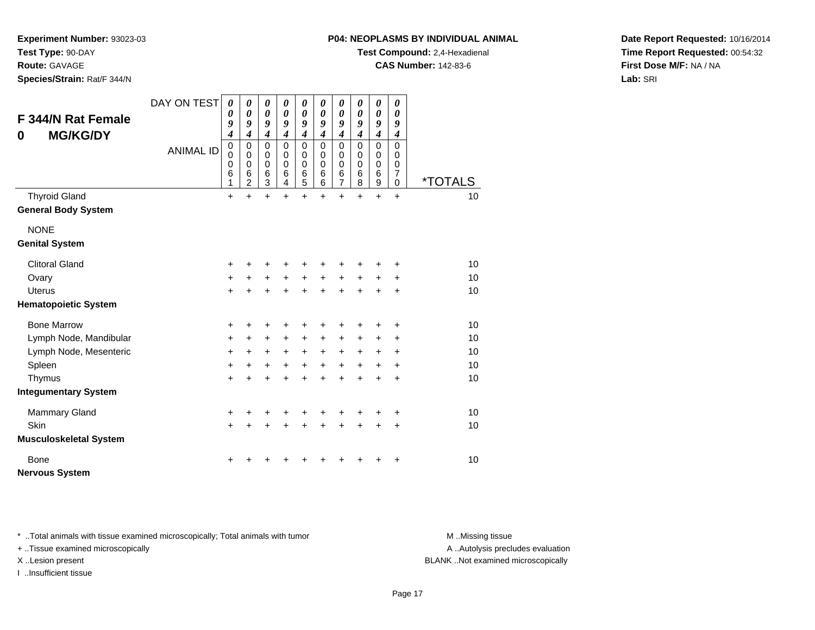**Experiment Number:** 93023-03

**Test Type:** 90-DAY

**Route:** GAVAGE

**Species/Strain:** Rat/F 344/N

# **P04: NEOPLASMS BY INDIVIDUAL ANIMAL**

**Test Compound:** 2,4-Hexadienal

**CAS Number:** 142-83-6

**Date Report Requested:** 10/16/2014**Time Report Requested:** 00:54:32**First Dose M/F:** NA / NA**Lab:** SRI

| F 344/N Rat Female<br><b>MG/KG/DY</b><br>0 | DAY ON TEST<br><b>ANIMAL ID</b> | 0<br>0<br>9<br>4<br>$\mathbf 0$<br>0<br>0<br>6 | 0<br>0<br>9<br>$\boldsymbol{4}$<br>$\mathbf 0$<br>0<br>0<br>6 | $\boldsymbol{\theta}$<br>$\boldsymbol{\theta}$<br>9<br>$\boldsymbol{4}$<br>$\Omega$<br>0<br>$\mathbf 0$<br>$6\phantom{1}6$ | 0<br>$\boldsymbol{\theta}$<br>9<br>$\boldsymbol{4}$<br>$\Omega$<br>0<br>0<br>6 | 0<br>$\boldsymbol{\theta}$<br>9<br>$\boldsymbol{4}$<br>$\mathbf 0$<br>0<br>0<br>6 | 0<br>0<br>9<br>$\boldsymbol{4}$<br>$\Omega$<br>$\Omega$<br>$\mathbf 0$<br>$\,6$ | 0<br>0<br>9<br>$\boldsymbol{4}$<br>$\mathbf 0$<br>0<br>0<br>6 | 0<br>0<br>9<br>4<br>$\Omega$<br>0<br>0<br>6 | 0<br>$\boldsymbol{\theta}$<br>9<br>$\boldsymbol{4}$<br>$\Omega$<br>0<br>0<br>$\,6$ | 0<br>0<br>9<br>$\boldsymbol{4}$<br>$\Omega$<br>0<br>$\mathbf 0$<br>$\overline{7}$ |                             |
|--------------------------------------------|---------------------------------|------------------------------------------------|---------------------------------------------------------------|----------------------------------------------------------------------------------------------------------------------------|--------------------------------------------------------------------------------|-----------------------------------------------------------------------------------|---------------------------------------------------------------------------------|---------------------------------------------------------------|---------------------------------------------|------------------------------------------------------------------------------------|-----------------------------------------------------------------------------------|-----------------------------|
| <b>Thyroid Gland</b>                       |                                 | 1<br>$\ddot{}$                                 | $\overline{c}$<br>$\ddot{}$                                   | 3<br>$\ddot{}$                                                                                                             | $\overline{4}$<br>$\ddot{}$                                                    | 5<br>$\ddot{}$                                                                    | 6<br>$\ddot{}$                                                                  | $\overline{7}$<br>$\ddot{}$                                   | 8<br>$\ddot{}$                              | $\boldsymbol{9}$<br>$+$                                                            | $\mathbf 0$<br>$+$                                                                | <i><b>*TOTALS</b></i><br>10 |
| <b>General Body System</b>                 |                                 |                                                |                                                               |                                                                                                                            |                                                                                |                                                                                   |                                                                                 |                                                               |                                             |                                                                                    |                                                                                   |                             |
| <b>NONE</b>                                |                                 |                                                |                                                               |                                                                                                                            |                                                                                |                                                                                   |                                                                                 |                                                               |                                             |                                                                                    |                                                                                   |                             |
| <b>Genital System</b>                      |                                 |                                                |                                                               |                                                                                                                            |                                                                                |                                                                                   |                                                                                 |                                                               |                                             |                                                                                    |                                                                                   |                             |
| <b>Clitoral Gland</b>                      |                                 | +                                              | ٠                                                             | +                                                                                                                          | +                                                                              | +                                                                                 |                                                                                 | ٠                                                             | +                                           | +                                                                                  | $\ddot{}$                                                                         | 10                          |
| Ovary                                      |                                 | +                                              | +                                                             | $\ddot{}$                                                                                                                  | $\ddot{}$                                                                      | $\ddot{}$                                                                         | $\ddot{}$                                                                       | $\ddot{}$                                                     | +                                           | +                                                                                  | +                                                                                 | 10                          |
| <b>Uterus</b>                              |                                 | +                                              |                                                               | $\ddot{}$                                                                                                                  | $\ddot{}$                                                                      | +                                                                                 | $\ddot{}$                                                                       | $\ddot{}$                                                     | $\ddot{}$                                   | +                                                                                  | $\ddot{}$                                                                         | 10                          |
| <b>Hematopoietic System</b>                |                                 |                                                |                                                               |                                                                                                                            |                                                                                |                                                                                   |                                                                                 |                                                               |                                             |                                                                                    |                                                                                   |                             |
| <b>Bone Marrow</b>                         |                                 | +                                              | +                                                             | +                                                                                                                          | +                                                                              | +                                                                                 |                                                                                 | +                                                             | +                                           | +                                                                                  | $\ddot{}$                                                                         | 10                          |
| Lymph Node, Mandibular                     |                                 | +                                              | $\ddot{}$                                                     | $\ddot{}$                                                                                                                  | $\ddot{}$                                                                      | $\ddot{}$                                                                         | $\ddot{}$                                                                       | $\ddot{}$                                                     | +                                           | +                                                                                  | $\ddot{}$                                                                         | 10                          |
| Lymph Node, Mesenteric                     |                                 | +                                              | $\ddot{}$                                                     | $\ddot{}$                                                                                                                  | $\ddot{}$                                                                      | $\ddot{}$                                                                         | $+$                                                                             | $\ddot{}$                                                     | $\ddot{}$                                   | +                                                                                  | $\ddot{}$                                                                         | 10                          |
| Spleen                                     |                                 | +                                              | $\ddot{}$                                                     | $\ddot{}$                                                                                                                  | $\ddot{}$                                                                      | $\ddot{}$                                                                         | $+$                                                                             | $\ddot{}$                                                     | $+$                                         | $\ddot{}$                                                                          | $\ddot{}$                                                                         | 10                          |
| Thymus                                     |                                 | +                                              | $\ddot{}$                                                     | $\ddot{}$                                                                                                                  | $\ddot{}$                                                                      | $\ddot{}$                                                                         | ÷                                                                               | $\ddot{}$                                                     | $\ddot{}$                                   | $\ddot{}$                                                                          | $\ddot{}$                                                                         | 10                          |
| <b>Integumentary System</b>                |                                 |                                                |                                                               |                                                                                                                            |                                                                                |                                                                                   |                                                                                 |                                                               |                                             |                                                                                    |                                                                                   |                             |
| Mammary Gland                              |                                 | +                                              | ٠                                                             | +                                                                                                                          | +                                                                              | +                                                                                 | +                                                                               | +                                                             | +                                           | ٠                                                                                  | ÷                                                                                 | 10                          |
| Skin                                       |                                 | +                                              | $\pm$                                                         | $\ddot{}$                                                                                                                  | +                                                                              | +                                                                                 | $\ddot{}$                                                                       | $\ddot{}$                                                     | $\ddot{}$                                   | $\ddot{}$                                                                          | $\ddot{}$                                                                         | 10                          |
| <b>Musculoskeletal System</b>              |                                 |                                                |                                                               |                                                                                                                            |                                                                                |                                                                                   |                                                                                 |                                                               |                                             |                                                                                    |                                                                                   |                             |
| <b>Bone</b>                                |                                 | +                                              |                                                               |                                                                                                                            |                                                                                |                                                                                   |                                                                                 |                                                               |                                             |                                                                                    | +                                                                                 | 10                          |
| <b>Nervous System</b>                      |                                 |                                                |                                                               |                                                                                                                            |                                                                                |                                                                                   |                                                                                 |                                                               |                                             |                                                                                    |                                                                                   |                             |

\* ..Total animals with tissue examined microscopically; Total animals with tumor **M** . Missing tissue M ..Missing tissue

+ ..Tissue examined microscopically

I ..Insufficient tissue

A ..Autolysis precludes evaluation

X ..Lesion present BLANK ..Not examined microscopically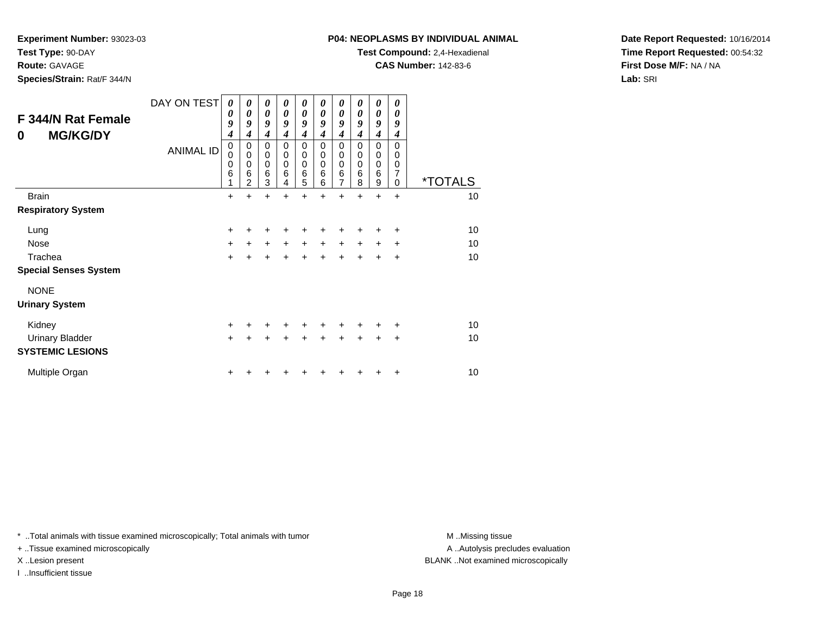**Experiment Number:** 93023-03

**Test Type:** 90-DAY

# **Route:** GAVAGE

**Species/Strain:** Rat/F 344/N

# **P04: NEOPLASMS BY INDIVIDUAL ANIMAL**

**Test Compound:** 2,4-Hexadienal

**CAS Number:** 142-83-6

**Date Report Requested:** 10/16/2014**Time Report Requested:** 00:54:32**First Dose M/F:** NA / NA**Lab:** SRI

| <b>F 344/N Rat Female</b><br><b>MG/KG/DY</b><br>0 | DAY ON TEST<br><b>ANIMAL ID</b> | $\boldsymbol{\theta}$<br>0<br>9<br>$\boldsymbol{4}$<br>0<br>$\Omega$<br>$\mathbf 0$<br>6<br>1 | 0<br>0<br>9<br>4<br>0<br>$\mathbf 0$<br>$\mathbf 0$<br>6<br>2 | 0<br>$\boldsymbol{\theta}$<br>9<br>$\boldsymbol{4}$<br>0<br>$\pmb{0}$<br>$\mathbf 0$<br>$\,6$<br>3 | 0<br>0<br>9<br>4<br>0<br>0<br>0<br>6<br>4 | 0<br>$\boldsymbol{\theta}$<br>9<br>4<br>0<br>$\pmb{0}$<br>$\mathbf 0$<br>$\,6$<br>5 | 0<br>0<br>9<br>4<br>0<br>0<br>$\mathbf 0$<br>6<br>6 | $\boldsymbol{\theta}$<br>0<br>9<br>4<br>0<br>0<br>$\mathbf 0$<br>6<br>7 | 0<br>0<br>9<br>4<br>0<br>$\mathbf 0$<br>$\mathbf 0$<br>6<br>8 | 0<br>$\boldsymbol{\theta}$<br>9<br>$\boldsymbol{4}$<br>0<br>$\mathbf 0$<br>$\mathbf 0$<br>$\,6$<br>9 | 0<br>$\boldsymbol{\theta}$<br>9<br>4<br>$\Omega$<br>0<br>$\mathbf 0$<br>$\overline{7}$<br>$\Omega$ | <i><b>*TOTALS</b></i> |
|---------------------------------------------------|---------------------------------|-----------------------------------------------------------------------------------------------|---------------------------------------------------------------|----------------------------------------------------------------------------------------------------|-------------------------------------------|-------------------------------------------------------------------------------------|-----------------------------------------------------|-------------------------------------------------------------------------|---------------------------------------------------------------|------------------------------------------------------------------------------------------------------|----------------------------------------------------------------------------------------------------|-----------------------|
| <b>Brain</b>                                      |                                 | $\ddot{}$                                                                                     | $\ddot{}$                                                     | $\ddot{}$                                                                                          | $\ddot{}$                                 | $\ddot{}$                                                                           | $\ddot{}$                                           | $\ddot{}$                                                               | $\ddot{}$                                                     | $\ddot{}$                                                                                            | $\ddot{}$                                                                                          | 10                    |
| <b>Respiratory System</b>                         |                                 |                                                                                               |                                                               |                                                                                                    |                                           |                                                                                     |                                                     |                                                                         |                                                               |                                                                                                      |                                                                                                    |                       |
| Lung                                              |                                 | $\ddot{}$                                                                                     | +                                                             | $\div$                                                                                             | $\div$                                    | +                                                                                   | +                                                   | +                                                                       | +                                                             | +                                                                                                    | $\ddot{}$                                                                                          | 10                    |
| <b>Nose</b>                                       |                                 | +                                                                                             | $\ddot{}$                                                     | $\ddot{}$                                                                                          | $\ddot{}$                                 | $\ddot{}$                                                                           | $\ddot{}$                                           | $\ddot{}$                                                               | $\ddot{}$                                                     | $\ddot{}$                                                                                            | $\ddot{}$                                                                                          | 10                    |
| Trachea                                           |                                 | $\ddot{}$                                                                                     | $\ddot{}$                                                     | $\ddot{}$                                                                                          | $\ddot{}$                                 | $+$                                                                                 | $\ddot{}$                                           | $\ddot{}$                                                               | $\ddot{}$                                                     | $\ddot{}$                                                                                            | $\ddot{}$                                                                                          | 10                    |
| <b>Special Senses System</b>                      |                                 |                                                                                               |                                                               |                                                                                                    |                                           |                                                                                     |                                                     |                                                                         |                                                               |                                                                                                      |                                                                                                    |                       |
| <b>NONE</b><br><b>Urinary System</b>              |                                 |                                                                                               |                                                               |                                                                                                    |                                           |                                                                                     |                                                     |                                                                         |                                                               |                                                                                                      |                                                                                                    |                       |
| Kidney                                            |                                 | $\ddot{}$                                                                                     | $\pm$                                                         | +                                                                                                  | $\ddot{}$                                 | $\ddot{}$                                                                           | $\ddot{}$                                           | +                                                                       | +                                                             | $\ddot{}$                                                                                            | $\ddot{}$                                                                                          | 10                    |
| <b>Urinary Bladder</b><br><b>SYSTEMIC LESIONS</b> |                                 | $\ddot{}$                                                                                     | $\ddot{}$                                                     | $\ddot{}$                                                                                          | +                                         | $\pm$                                                                               | +                                                   | +                                                                       | +                                                             | +                                                                                                    | $\ddot{}$                                                                                          | 10                    |
| Multiple Organ                                    |                                 | +                                                                                             |                                                               |                                                                                                    |                                           |                                                                                     |                                                     |                                                                         |                                                               |                                                                                                      | ٠                                                                                                  | 10                    |

\* ..Total animals with tissue examined microscopically; Total animals with tumor **M** . Missing tissue M ..Missing tissue

+ ..Tissue examined microscopically

I ..Insufficient tissue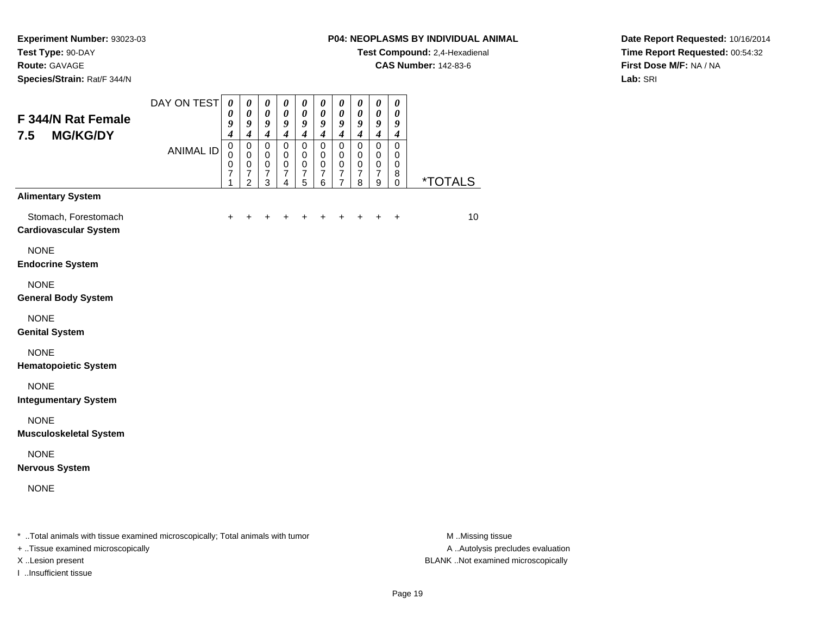**Species/Strain:** Rat/F 344/N

#### **P04: NEOPLASMS BY INDIVIDUAL ANIMAL**

**Test Compound:** 2,4-Hexadienal

**CAS Number:** 142-83-6

**Date Report Requested:** 10/16/2014**Time Report Requested:** 00:54:32**First Dose M/F:** NA / NA**Lab:** SRI

| F 344/N Rat Female<br><b>MG/KG/DY</b><br>7.5                                   | DAY ON TEST      | 0<br>0<br>9<br>$\boldsymbol{4}$                  | 0<br>0<br>9<br>$\boldsymbol{4}$                                   | $\boldsymbol{\theta}$<br>$\boldsymbol{\theta}$<br>9<br>$\boldsymbol{4}$ | 0<br>$\boldsymbol{\theta}$<br>9<br>$\boldsymbol{4}$    | $\boldsymbol{\theta}$<br>$\boldsymbol{\theta}$<br>9<br>$\boldsymbol{4}$         | 0<br>0<br>9<br>$\boldsymbol{4}$         | 0<br>$\boldsymbol{\theta}$<br>9<br>$\boldsymbol{4}$       | 0<br>$\boldsymbol{\theta}$<br>9<br>$\boldsymbol{4}$ | 0<br>$\boldsymbol{\theta}$<br>9<br>$\boldsymbol{4}$                     | $\boldsymbol{\theta}$<br>$\boldsymbol{\theta}$<br>9<br>$\boldsymbol{4}$ |                       |
|--------------------------------------------------------------------------------|------------------|--------------------------------------------------|-------------------------------------------------------------------|-------------------------------------------------------------------------|--------------------------------------------------------|---------------------------------------------------------------------------------|-----------------------------------------|-----------------------------------------------------------|-----------------------------------------------------|-------------------------------------------------------------------------|-------------------------------------------------------------------------|-----------------------|
|                                                                                | <b>ANIMAL ID</b> | $\mathbf 0$<br>$\Omega$<br>$\mathbf 0$<br>7<br>1 | $\mathbf 0$<br>0<br>$\pmb{0}$<br>$\overline{7}$<br>$\overline{2}$ | $\mathbf 0$<br>$\mathbf 0$<br>$\pmb{0}$<br>$\overline{7}$<br>3          | $\mathsf 0$<br>0<br>$\mathsf 0$<br>$\overline{7}$<br>4 | $\mathbf 0$<br>$\mathbf 0$<br>$\mathbf 0$<br>$\boldsymbol{7}$<br>$\overline{5}$ | $\mathbf 0$<br>0<br>$\pmb{0}$<br>7<br>6 | $\mathbf 0$<br>0<br>0<br>$\overline{7}$<br>$\overline{7}$ | $\mathbf 0$<br>0<br>0<br>$\overline{7}$<br>8        | $\mathsf 0$<br>0<br>$\mathbf 0$<br>$\boldsymbol{7}$<br>$\boldsymbol{9}$ | $\mathbf 0$<br>0<br>0<br>8<br>$\mathbf 0$                               | <i><b>*TOTALS</b></i> |
| <b>Alimentary System</b>                                                       |                  |                                                  |                                                                   |                                                                         |                                                        |                                                                                 |                                         |                                                           |                                                     |                                                                         |                                                                         |                       |
| Stomach, Forestomach<br><b>Cardiovascular System</b>                           |                  | $\ddot{}$                                        |                                                                   |                                                                         |                                                        |                                                                                 |                                         |                                                           |                                                     | +                                                                       | $\ddot{}$                                                               | 10 <sup>1</sup>       |
| <b>NONE</b><br><b>Endocrine System</b>                                         |                  |                                                  |                                                                   |                                                                         |                                                        |                                                                                 |                                         |                                                           |                                                     |                                                                         |                                                                         |                       |
| <b>NONE</b><br><b>General Body System</b>                                      |                  |                                                  |                                                                   |                                                                         |                                                        |                                                                                 |                                         |                                                           |                                                     |                                                                         |                                                                         |                       |
| <b>NONE</b><br><b>Genital System</b>                                           |                  |                                                  |                                                                   |                                                                         |                                                        |                                                                                 |                                         |                                                           |                                                     |                                                                         |                                                                         |                       |
| <b>NONE</b><br><b>Hematopoietic System</b>                                     |                  |                                                  |                                                                   |                                                                         |                                                        |                                                                                 |                                         |                                                           |                                                     |                                                                         |                                                                         |                       |
| <b>NONE</b><br><b>Integumentary System</b>                                     |                  |                                                  |                                                                   |                                                                         |                                                        |                                                                                 |                                         |                                                           |                                                     |                                                                         |                                                                         |                       |
| <b>NONE</b><br><b>Musculoskeletal System</b>                                   |                  |                                                  |                                                                   |                                                                         |                                                        |                                                                                 |                                         |                                                           |                                                     |                                                                         |                                                                         |                       |
| <b>NONE</b><br><b>Nervous System</b>                                           |                  |                                                  |                                                                   |                                                                         |                                                        |                                                                                 |                                         |                                                           |                                                     |                                                                         |                                                                         |                       |
| <b>NONE</b>                                                                    |                  |                                                  |                                                                   |                                                                         |                                                        |                                                                                 |                                         |                                                           |                                                     |                                                                         |                                                                         |                       |
| * Total animals with tissue examined microscopically: Total animals with tumor |                  |                                                  |                                                                   |                                                                         |                                                        |                                                                                 |                                         |                                                           |                                                     |                                                                         |                                                                         | M. Miccine            |

..Total animals with tissue examined microscopically; Total animals with tumor M ..Missing tissue M ..Missing tissue

+ ..Tissue examined microscopically

I ..Insufficient tissue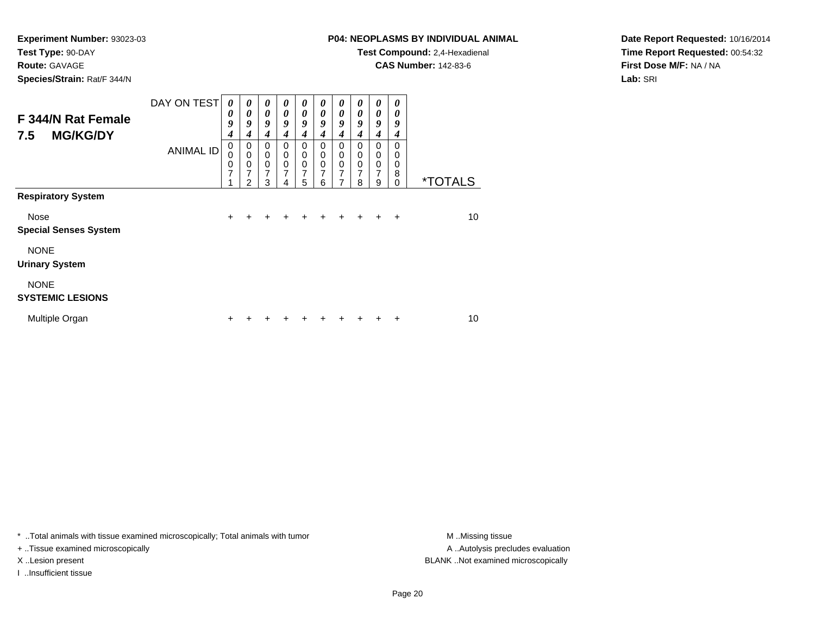**Route:** GAVAGE

**Species/Strain:** Rat/F 344/N

# **P04: NEOPLASMS BY INDIVIDUAL ANIMAL**

**Test Compound:** 2,4-Hexadienal

**CAS Number:** 142-83-6

**Date Report Requested:** 10/16/2014**Time Report Requested:** 00:54:32**First Dose M/F:** NA / NA**Lab:** SRI

| F 344/N Rat Female<br><b>MG/KG/DY</b><br>7.5 | DAY ON TEST      | $\boldsymbol{\theta}$<br>0<br>9<br>4           | 0<br>0<br>9<br>4                            | 0<br>$\theta$<br>9<br>4            | 0<br>0<br>9<br>4                             | $\boldsymbol{\theta}$<br>$\boldsymbol{\theta}$<br>9<br>4 | 0<br>0<br>9<br>4                   | 0<br>0<br>9<br>4                                       | 0<br>0<br>9<br>4      | $\boldsymbol{\theta}$<br>$\boldsymbol{\theta}$<br>9<br>$\boldsymbol{4}$ | 0<br>0<br>9<br>4                    |                       |
|----------------------------------------------|------------------|------------------------------------------------|---------------------------------------------|------------------------------------|----------------------------------------------|----------------------------------------------------------|------------------------------------|--------------------------------------------------------|-----------------------|-------------------------------------------------------------------------|-------------------------------------|-----------------------|
| <b>Respiratory System</b>                    | <b>ANIMAL ID</b> | $\mathbf 0$<br>$\Omega$<br>0<br>$\overline{7}$ | 0<br>$\mathbf 0$<br>0<br>7<br>$\mathcal{P}$ | 0<br>0<br>0<br>$\overline{7}$<br>3 | 0<br>$\mathbf 0$<br>0<br>$\overline{7}$<br>4 | 0<br>0<br>0<br>7<br>5                                    | 0<br>0<br>0<br>$\overline{7}$<br>6 | 0<br>$\mathbf 0$<br>$\mathbf 0$<br>$\overline{7}$<br>7 | 0<br>0<br>0<br>7<br>8 | 0<br>$\mathbf 0$<br>$\mathbf 0$<br>7<br>9                               | $\Omega$<br>0<br>0<br>8<br>$\Omega$ | <i><b>*TOTALS</b></i> |
|                                              |                  |                                                |                                             |                                    |                                              |                                                          |                                    |                                                        |                       |                                                                         |                                     |                       |
| Nose<br><b>Special Senses System</b>         |                  | $\ddot{}$                                      | +                                           | +                                  | ÷                                            | $\div$                                                   | ٠                                  | ÷                                                      | $\div$                | ÷                                                                       | $\div$                              | 10                    |
| <b>NONE</b><br><b>Urinary System</b>         |                  |                                                |                                             |                                    |                                              |                                                          |                                    |                                                        |                       |                                                                         |                                     |                       |
| <b>NONE</b><br><b>SYSTEMIC LESIONS</b>       |                  |                                                |                                             |                                    |                                              |                                                          |                                    |                                                        |                       |                                                                         |                                     |                       |
| Multiple Organ                               |                  | ٠                                              |                                             |                                    |                                              |                                                          |                                    |                                                        |                       |                                                                         | $\div$                              | 10                    |

\* ..Total animals with tissue examined microscopically; Total animals with tumor **M** . Missing tissue M ..Missing tissue

+ ..Tissue examined microscopically

I ..Insufficient tissue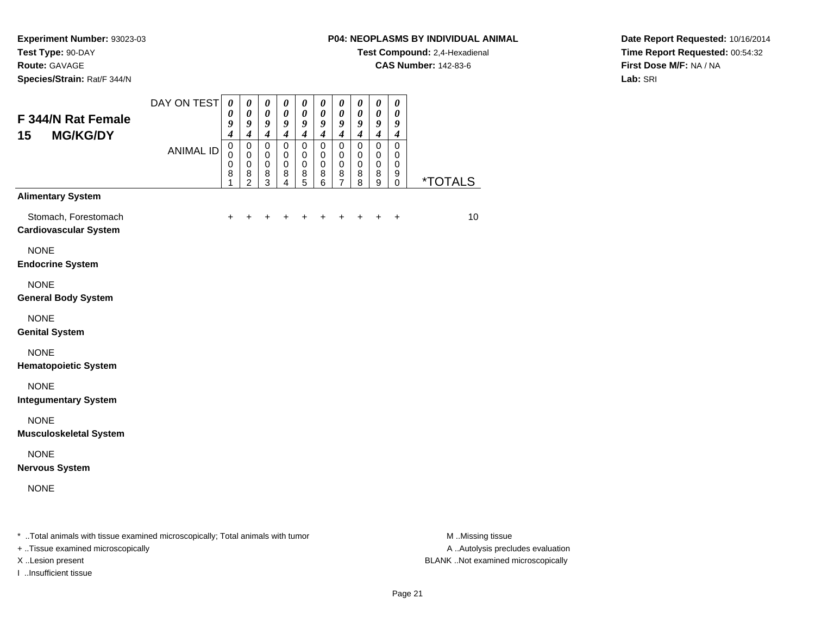# **Route:** GAVAGE

**Species/Strain:** Rat/F 344/N

# **P04: NEOPLASMS BY INDIVIDUAL ANIMAL**

**Test Compound:** 2,4-Hexadienal

**CAS Number:** 142-83-6

**Date Report Requested:** 10/16/2014**Time Report Requested:** 00:54:32**First Dose M/F:** NA / NA**Lab:** SRI

| F 344/N Rat Female<br>15<br><b>MG/KG/DY</b>                                       | DAY ON TEST      | 0<br>$\boldsymbol{\theta}$<br>9<br>$\boldsymbol{4}$ | 0<br>$\boldsymbol{\theta}$<br>$\boldsymbol{g}$<br>$\boldsymbol{4}$ | 0<br>$\boldsymbol{\theta}$<br>$\boldsymbol{g}$<br>$\boldsymbol{4}$ | $\boldsymbol{\theta}$<br>$\boldsymbol{\theta}$<br>$\boldsymbol{g}$<br>$\boldsymbol{4}$ | 0<br>$\boldsymbol{\theta}$<br>$\boldsymbol{g}$<br>$\boldsymbol{4}$ | 0<br>$\boldsymbol{\theta}$<br>9<br>$\boldsymbol{4}$ | 0<br>$\boldsymbol{\theta}$<br>9<br>$\boldsymbol{4}$              | 0<br>0<br>$\boldsymbol{g}$<br>$\boldsymbol{4}$ | 0<br>$\pmb{\theta}$<br>9<br>$\boldsymbol{4}$   | 0<br>$\boldsymbol{\theta}$<br>9<br>$\boldsymbol{4}$ |                       |
|-----------------------------------------------------------------------------------|------------------|-----------------------------------------------------|--------------------------------------------------------------------|--------------------------------------------------------------------|----------------------------------------------------------------------------------------|--------------------------------------------------------------------|-----------------------------------------------------|------------------------------------------------------------------|------------------------------------------------|------------------------------------------------|-----------------------------------------------------|-----------------------|
|                                                                                   | <b>ANIMAL ID</b> | $\mathbf 0$<br>$\Omega$<br>0<br>8                   | $\mathbf 0$<br>$\mathbf 0$<br>$\mathbf 0$<br>8<br>$\overline{2}$   | $\mathbf 0$<br>0<br>$\mathbf 0$<br>8<br>3                          | $\mathbf 0$<br>0<br>$\mathbf 0$<br>8<br>4                                              | $\mathbf 0$<br>$\mathbf 0$<br>$\mathbf 0$<br>8<br>$\overline{5}$   | $\mathbf 0$<br>0<br>$\mathbf 0$<br>8<br>6           | $\mathbf 0$<br>$\mathbf 0$<br>$\mathbf 0$<br>8<br>$\overline{7}$ | $\mathbf 0$<br>0<br>0<br>8<br>8                | $\mathbf 0$<br>0<br>0<br>8<br>$\boldsymbol{9}$ | $\mathbf 0$<br>$\mathbf 0$<br>$\mathbf 0$<br>9<br>0 | <i><b>*TOTALS</b></i> |
| <b>Alimentary System</b>                                                          |                  |                                                     |                                                                    |                                                                    |                                                                                        |                                                                    |                                                     |                                                                  |                                                |                                                |                                                     |                       |
| Stomach, Forestomach<br><b>Cardiovascular System</b>                              |                  | ٠                                                   |                                                                    |                                                                    |                                                                                        |                                                                    |                                                     |                                                                  |                                                |                                                | +                                                   | 10 <sup>1</sup>       |
| <b>NONE</b><br><b>Endocrine System</b>                                            |                  |                                                     |                                                                    |                                                                    |                                                                                        |                                                                    |                                                     |                                                                  |                                                |                                                |                                                     |                       |
| <b>NONE</b><br><b>General Body System</b>                                         |                  |                                                     |                                                                    |                                                                    |                                                                                        |                                                                    |                                                     |                                                                  |                                                |                                                |                                                     |                       |
| <b>NONE</b><br><b>Genital System</b>                                              |                  |                                                     |                                                                    |                                                                    |                                                                                        |                                                                    |                                                     |                                                                  |                                                |                                                |                                                     |                       |
| <b>NONE</b><br><b>Hematopoietic System</b>                                        |                  |                                                     |                                                                    |                                                                    |                                                                                        |                                                                    |                                                     |                                                                  |                                                |                                                |                                                     |                       |
| <b>NONE</b><br><b>Integumentary System</b>                                        |                  |                                                     |                                                                    |                                                                    |                                                                                        |                                                                    |                                                     |                                                                  |                                                |                                                |                                                     |                       |
| <b>NONE</b><br><b>Musculoskeletal System</b>                                      |                  |                                                     |                                                                    |                                                                    |                                                                                        |                                                                    |                                                     |                                                                  |                                                |                                                |                                                     |                       |
| <b>NONE</b><br><b>Nervous System</b>                                              |                  |                                                     |                                                                    |                                                                    |                                                                                        |                                                                    |                                                     |                                                                  |                                                |                                                |                                                     |                       |
| <b>NONE</b>                                                                       |                  |                                                     |                                                                    |                                                                    |                                                                                        |                                                                    |                                                     |                                                                  |                                                |                                                |                                                     |                       |
| Tatal and male with theme are main all minimum and all in Tatal and male with the |                  |                                                     |                                                                    |                                                                    |                                                                                        |                                                                    |                                                     |                                                                  |                                                |                                                |                                                     | $A \cup B$            |

..Total animals with tissue examined microscopically; Total animals with tumor M ..Missing tissue M ..Missing tissue

+ ..Tissue examined microscopically

I ..Insufficient tissue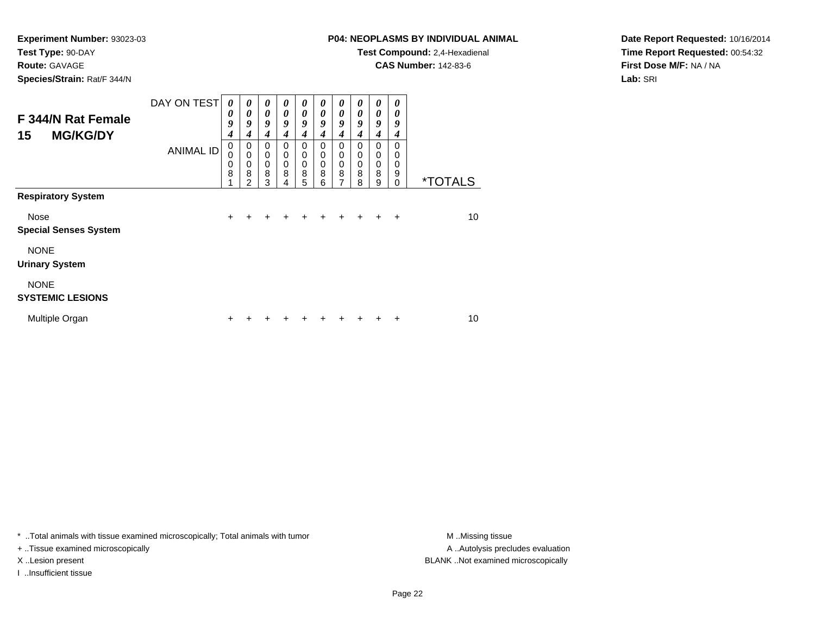**Route:** GAVAGE

**Species/Strain:** Rat/F 344/N

# **P04: NEOPLASMS BY INDIVIDUAL ANIMAL**

**Test Compound:** 2,4-Hexadienal

**CAS Number:** 142-83-6

**Date Report Requested:** 10/16/2014**Time Report Requested:** 00:54:32**First Dose M/F:** NA / NA**Lab:** SRI

| F 344/N Rat Female<br><b>MG/KG/DY</b><br>15<br><b>Respiratory System</b> | DAY ON TEST      | $\boldsymbol{\theta}$<br>0<br>9<br>4 | $\boldsymbol{\theta}$<br>$\boldsymbol{\theta}$<br>9<br>4 | 0<br>$\theta$<br>9<br>4 | 0<br>0<br>9<br>4      | 0<br>0<br>9<br>4                | 0<br>0<br>9<br>4      | 0<br>$\boldsymbol{\theta}$<br>9<br>4                   | 0<br>0<br>9<br>4      | 0<br>$\boldsymbol{\theta}$<br>9<br>$\boldsymbol{4}$ | 0<br>0<br>9<br>4                    |                       |
|--------------------------------------------------------------------------|------------------|--------------------------------------|----------------------------------------------------------|-------------------------|-----------------------|---------------------------------|-----------------------|--------------------------------------------------------|-----------------------|-----------------------------------------------------|-------------------------------------|-----------------------|
|                                                                          | <b>ANIMAL ID</b> | 0<br>0<br>0<br>8                     | $\mathbf 0$<br>0<br>0<br>8<br>$\mathfrak{p}$             | 0<br>0<br>0<br>8<br>3   | 0<br>0<br>0<br>8<br>4 | 0<br>0<br>$\mathbf 0$<br>8<br>5 | 0<br>0<br>0<br>8<br>6 | 0<br>$\mathbf 0$<br>$\mathbf 0$<br>8<br>$\overline{7}$ | 0<br>0<br>0<br>8<br>8 | $\mathbf 0$<br>$\mathbf 0$<br>$\mathbf 0$<br>8<br>9 | $\Omega$<br>0<br>0<br>9<br>$\Omega$ | <i><b>*TOTALS</b></i> |
|                                                                          |                  |                                      |                                                          |                         |                       |                                 |                       |                                                        |                       |                                                     |                                     |                       |
| Nose<br><b>Special Senses System</b>                                     |                  | $\ddot{}$                            |                                                          |                         |                       | ÷                               | +                     | +                                                      | +                     | ÷                                                   | $\ddot{}$                           | 10                    |
| <b>NONE</b><br><b>Urinary System</b>                                     |                  |                                      |                                                          |                         |                       |                                 |                       |                                                        |                       |                                                     |                                     |                       |
| <b>NONE</b><br><b>SYSTEMIC LESIONS</b>                                   |                  |                                      |                                                          |                         |                       |                                 |                       |                                                        |                       |                                                     |                                     |                       |
| Multiple Organ                                                           |                  | +                                    |                                                          |                         |                       |                                 |                       |                                                        |                       |                                                     | ٠                                   | 10                    |

\* ..Total animals with tissue examined microscopically; Total animals with tumor **M** . Missing tissue M ..Missing tissue

+ ..Tissue examined microscopically

I ..Insufficient tissue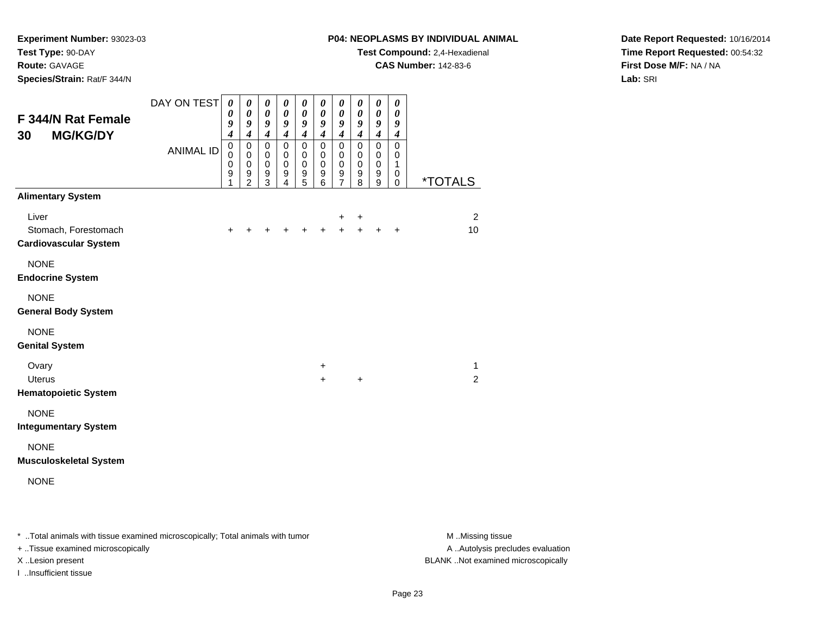# **Route:** GAVAGE

**Species/Strain:** Rat/F 344/N

#### **P04: NEOPLASMS BY INDIVIDUAL ANIMAL**

**Test Compound:** 2,4-Hexadienal

**CAS Number:** 142-83-6

**Date Report Requested:** 10/16/2014**Time Report Requested:** 00:54:32**First Dose M/F:** NA / NA**Lab:** SRI

| F 344/N Rat Female<br><b>MG/KG/DY</b><br>30                   | DAY ON TEST      | $\boldsymbol{\theta}$<br>0<br>9<br>$\boldsymbol{4}$    | 0<br>$\boldsymbol{\theta}$<br>9<br>$\boldsymbol{4}$                         | 0<br>$\boldsymbol{\theta}$<br>$\boldsymbol{9}$<br>$\boldsymbol{4}$ | 0<br>$\boldsymbol{\theta}$<br>9<br>$\boldsymbol{4}$ | $\boldsymbol{\theta}$<br>$\pmb{\theta}$<br>9<br>$\boldsymbol{4}$ | $\pmb{\theta}$<br>$\boldsymbol{\theta}$<br>$\boldsymbol{g}$<br>$\boldsymbol{4}$ | $\boldsymbol{\theta}$<br>$\pmb{\theta}$<br>$\boldsymbol{g}$<br>$\boldsymbol{4}$ | $\boldsymbol{\theta}$<br>$\boldsymbol{\theta}$<br>$\boldsymbol{g}$<br>$\boldsymbol{4}$ | $\pmb{\theta}$<br>$\pmb{\theta}$<br>9<br>$\boldsymbol{4}$ | 0<br>$\boldsymbol{\theta}$<br>$\boldsymbol{9}$<br>$\boldsymbol{4}$ |                       |
|---------------------------------------------------------------|------------------|--------------------------------------------------------|-----------------------------------------------------------------------------|--------------------------------------------------------------------|-----------------------------------------------------|------------------------------------------------------------------|---------------------------------------------------------------------------------|---------------------------------------------------------------------------------|----------------------------------------------------------------------------------------|-----------------------------------------------------------|--------------------------------------------------------------------|-----------------------|
|                                                               | <b>ANIMAL ID</b> | $\pmb{0}$<br>$\mathbf 0$<br>0<br>$\boldsymbol{9}$<br>1 | $\pmb{0}$<br>$\mathbf 0$<br>$\pmb{0}$<br>$\boldsymbol{9}$<br>$\overline{2}$ | $\pmb{0}$<br>$\mathbf 0$<br>0<br>$\boldsymbol{9}$<br>3             | $\pmb{0}$<br>$\mathbf 0$<br>0<br>9<br>4             | $\mathsf 0$<br>$\mathbf 0$<br>$\pmb{0}$<br>$\mathsf g$<br>5      | $\pmb{0}$<br>0<br>0<br>$\boldsymbol{9}$<br>6                                    | $\pmb{0}$<br>0<br>0<br>$\mathsf g$<br>$\overline{7}$                            | $\pmb{0}$<br>$\mathbf 0$<br>0<br>$\boldsymbol{9}$<br>8                                 | $\pmb{0}$<br>0<br>0<br>$\boldsymbol{9}$<br>9              | $\pmb{0}$<br>$\mathbf 0$<br>1<br>0<br>$\mathbf 0$                  | <i><b>*TOTALS</b></i> |
| <b>Alimentary System</b>                                      |                  |                                                        |                                                                             |                                                                    |                                                     |                                                                  |                                                                                 |                                                                                 |                                                                                        |                                                           |                                                                    |                       |
| Liver<br>Stomach, Forestomach<br><b>Cardiovascular System</b> |                  | $\ddot{}$                                              | $\ddot{}$                                                                   | $\ddot{}$                                                          | $\ddot{}$                                           | $+$                                                              | $+$                                                                             | $\pm$<br>$+$                                                                    | +<br>$+$                                                                               | $+$                                                       | $\ddot{}$                                                          | $\overline{2}$<br>10  |
| <b>NONE</b><br><b>Endocrine System</b>                        |                  |                                                        |                                                                             |                                                                    |                                                     |                                                                  |                                                                                 |                                                                                 |                                                                                        |                                                           |                                                                    |                       |
| <b>NONE</b><br><b>General Body System</b>                     |                  |                                                        |                                                                             |                                                                    |                                                     |                                                                  |                                                                                 |                                                                                 |                                                                                        |                                                           |                                                                    |                       |
| <b>NONE</b><br><b>Genital System</b>                          |                  |                                                        |                                                                             |                                                                    |                                                     |                                                                  |                                                                                 |                                                                                 |                                                                                        |                                                           |                                                                    |                       |
| Ovary<br><b>Uterus</b><br><b>Hematopoietic System</b>         |                  |                                                        |                                                                             |                                                                    |                                                     |                                                                  | +<br>$\ddot{}$                                                                  |                                                                                 | $\ddot{}$                                                                              |                                                           |                                                                    | $\mathbf{1}$<br>2     |
| <b>NONE</b><br><b>Integumentary System</b>                    |                  |                                                        |                                                                             |                                                                    |                                                     |                                                                  |                                                                                 |                                                                                 |                                                                                        |                                                           |                                                                    |                       |
| <b>NONE</b><br><b>Musculoskeletal System</b>                  |                  |                                                        |                                                                             |                                                                    |                                                     |                                                                  |                                                                                 |                                                                                 |                                                                                        |                                                           |                                                                    |                       |
| <b>NONE</b>                                                   |                  |                                                        |                                                                             |                                                                    |                                                     |                                                                  |                                                                                 |                                                                                 |                                                                                        |                                                           |                                                                    |                       |

\* ..Total animals with tissue examined microscopically; Total animals with tumor **M** . Missing tissue M ..Missing tissue

+ ..Tissue examined microscopically

I ..Insufficient tissue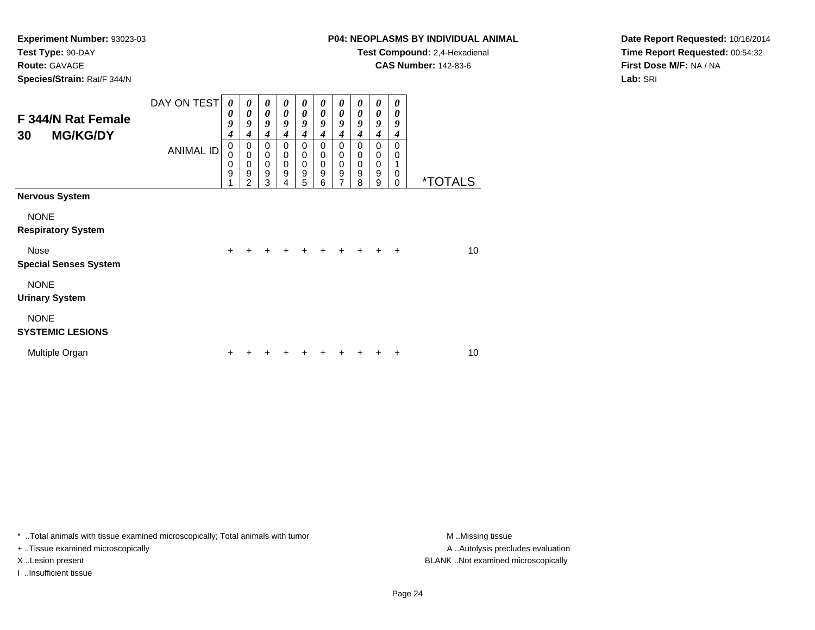# **Route:** GAVAGE

**Species/Strain:** Rat/F 344/N

# **P04: NEOPLASMS BY INDIVIDUAL ANIMAL**

**Test Compound:** 2,4-Hexadienal

**CAS Number:** 142-83-6

**Date Report Requested:** 10/16/2014**Time Report Requested:** 00:54:32**First Dose M/F:** NA / NA**Lab:** SRI

| F 344/N Rat Female<br><b>MG/KG/DY</b><br>30 | DAY ON TEST      | 0<br>0<br>9<br>4                | $\boldsymbol{\theta}$<br>0<br>9<br>4                   | 0<br>$\boldsymbol{\theta}$<br>9<br>4   | 0<br>$\theta$<br>9<br>4                   | 0<br>$\boldsymbol{\theta}$<br>9<br>$\boldsymbol{4}$                | 0<br>0<br>9<br>4      | 0<br>0<br>9<br>4                                    | 0<br>0<br>9<br>4                | 0<br>$\boldsymbol{\theta}$<br>9<br>$\boldsymbol{4}$ | $\boldsymbol{\theta}$<br>$\boldsymbol{\theta}$<br>9<br>4 |                       |
|---------------------------------------------|------------------|---------------------------------|--------------------------------------------------------|----------------------------------------|-------------------------------------------|--------------------------------------------------------------------|-----------------------|-----------------------------------------------------|---------------------------------|-----------------------------------------------------|----------------------------------------------------------|-----------------------|
|                                             | <b>ANIMAL ID</b> | $\mathbf 0$<br>0<br>0<br>9<br>4 | 0<br>$\mathbf 0$<br>$\mathbf 0$<br>9<br>$\mathfrak{p}$ | $\Omega$<br>0<br>$\mathbf 0$<br>9<br>3 | $\mathbf 0$<br>0<br>$\mathbf 0$<br>9<br>4 | $\mathbf 0$<br>$\mathbf 0$<br>$\mathbf 0$<br>$\boldsymbol{9}$<br>5 | 0<br>0<br>0<br>9<br>6 | $\mathbf 0$<br>0<br>$\mathbf 0$<br>$\mathsf g$<br>7 | 0<br>0<br>$\mathbf 0$<br>9<br>8 | $\mathbf 0$<br>0<br>$\mathbf 0$<br>9<br>9           | $\Omega$<br>0<br>$\mathbf 0$<br>$\Omega$                 | <i><b>*TOTALS</b></i> |
| <b>Nervous System</b>                       |                  |                                 |                                                        |                                        |                                           |                                                                    |                       |                                                     |                                 |                                                     |                                                          |                       |
| <b>NONE</b><br><b>Respiratory System</b>    |                  |                                 |                                                        |                                        |                                           |                                                                    |                       |                                                     |                                 |                                                     |                                                          |                       |
| Nose<br><b>Special Senses System</b>        |                  | $\ddot{}$                       |                                                        | $\div$                                 | $\div$                                    | $\ddot{}$                                                          | $\ddot{}$             | $+$                                                 | $\ddot{}$                       | $\ddot{}$                                           | $\ddot{}$                                                | 10 <sup>1</sup>       |
| <b>NONE</b><br><b>Urinary System</b>        |                  |                                 |                                                        |                                        |                                           |                                                                    |                       |                                                     |                                 |                                                     |                                                          |                       |
| <b>NONE</b><br><b>SYSTEMIC LESIONS</b>      |                  |                                 |                                                        |                                        |                                           |                                                                    |                       |                                                     |                                 |                                                     |                                                          |                       |
| Multiple Organ                              |                  |                                 |                                                        |                                        |                                           |                                                                    |                       |                                                     |                                 |                                                     | +                                                        | 10                    |

\* ..Total animals with tissue examined microscopically; Total animals with tumor **M** . Missing tissue M ..Missing tissue

+ ..Tissue examined microscopically

I ..Insufficient tissue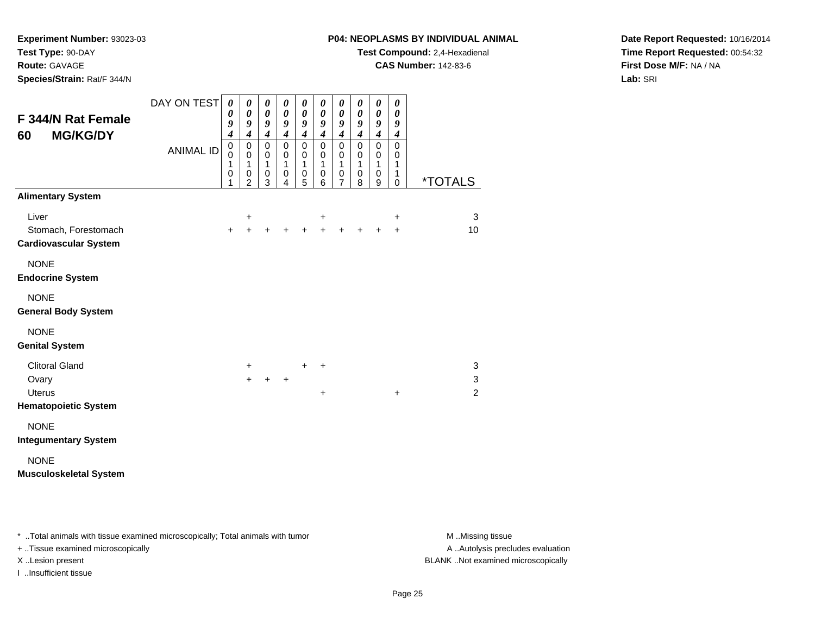#### **Route:** GAVAGE

**Species/Strain:** Rat/F 344/N

#### **P04: NEOPLASMS BY INDIVIDUAL ANIMAL**

**Test Compound:** 2,4-Hexadienal

**CAS Number:** 142-83-6

**Date Report Requested:** 10/16/2014**Time Report Requested:** 00:54:32**First Dose M/F:** NA / NA**Lab:** SRI

| F 344/N Rat Female<br><b>MG/KG/DY</b><br>60                                    | DAY ON TEST<br><b>ANIMAL ID</b> | 0<br>0<br>9<br>$\boldsymbol{4}$<br>$\mathbf 0$<br>$\Omega$<br>1<br>0<br>1 | 0<br>$\boldsymbol{\theta}$<br>9<br>$\overline{4}$<br>0<br>$\mathbf 0$<br>1<br>0<br>$\overline{2}$ | 0<br>$\boldsymbol{\theta}$<br>9<br>$\overline{4}$<br>$\mathbf 0$<br>$\Omega$<br>1<br>0<br>3 | 0<br>$\boldsymbol{\theta}$<br>9<br>$\overline{4}$<br>$\mathbf 0$<br>0<br>1<br>$\pmb{0}$<br>4 | 0<br>$\boldsymbol{\theta}$<br>9<br>$\overline{4}$<br>$\mathbf 0$<br>$\mathbf 0$<br>$\mathbf{1}$<br>$\pmb{0}$<br>5 | 0<br>$\boldsymbol{\theta}$<br>9<br>$\overline{4}$<br>$\mathbf 0$<br>$\mathbf 0$<br>1<br>$\pmb{0}$<br>6 | 0<br>$\boldsymbol{\theta}$<br>9<br>$\boldsymbol{4}$<br>$\mathbf 0$<br>$\mathbf 0$<br>$\overline{1}$<br>$\mathbf 0$<br>$\overline{7}$ | 0<br>0<br>9<br>$\boldsymbol{4}$<br>$\mathbf 0$<br>$\mathbf 0$<br>$\mathbf{1}$<br>$\mathbf 0$<br>8 | 0<br>0<br>9<br>$\boldsymbol{4}$<br>$\mathbf 0$<br>$\pmb{0}$<br>$\mathbf{1}$<br>$\mathbf 0$<br>9 | 0<br>$\boldsymbol{\theta}$<br>9<br>$\boldsymbol{4}$<br>$\mathbf 0$<br>$\mathbf 0$<br>1<br>$\mathbf{1}$<br>$\pmb{0}$ | <i><b>*TOTALS</b></i>    |
|--------------------------------------------------------------------------------|---------------------------------|---------------------------------------------------------------------------|---------------------------------------------------------------------------------------------------|---------------------------------------------------------------------------------------------|----------------------------------------------------------------------------------------------|-------------------------------------------------------------------------------------------------------------------|--------------------------------------------------------------------------------------------------------|--------------------------------------------------------------------------------------------------------------------------------------|---------------------------------------------------------------------------------------------------|-------------------------------------------------------------------------------------------------|---------------------------------------------------------------------------------------------------------------------|--------------------------|
| <b>Alimentary System</b>                                                       |                                 |                                                                           |                                                                                                   |                                                                                             |                                                                                              |                                                                                                                   |                                                                                                        |                                                                                                                                      |                                                                                                   |                                                                                                 |                                                                                                                     |                          |
| Liver<br>Stomach, Forestomach<br><b>Cardiovascular System</b>                  |                                 | $\ddot{}$                                                                 | +<br>$\ddot{}$                                                                                    |                                                                                             |                                                                                              |                                                                                                                   | +<br>$+$                                                                                               | $+$                                                                                                                                  | $+$                                                                                               | $\ddot{}$                                                                                       | $\ddot{}$<br>$\ddot{}$                                                                                              | 3<br>10                  |
| <b>NONE</b><br><b>Endocrine System</b>                                         |                                 |                                                                           |                                                                                                   |                                                                                             |                                                                                              |                                                                                                                   |                                                                                                        |                                                                                                                                      |                                                                                                   |                                                                                                 |                                                                                                                     |                          |
| <b>NONE</b><br><b>General Body System</b>                                      |                                 |                                                                           |                                                                                                   |                                                                                             |                                                                                              |                                                                                                                   |                                                                                                        |                                                                                                                                      |                                                                                                   |                                                                                                 |                                                                                                                     |                          |
| <b>NONE</b><br><b>Genital System</b>                                           |                                 |                                                                           |                                                                                                   |                                                                                             |                                                                                              |                                                                                                                   |                                                                                                        |                                                                                                                                      |                                                                                                   |                                                                                                 |                                                                                                                     |                          |
| <b>Clitoral Gland</b><br>Ovary<br><b>Uterus</b><br><b>Hematopoietic System</b> |                                 |                                                                           | +<br>$\ddot{}$                                                                                    |                                                                                             | $\ddot{}$                                                                                    | $\ddot{}$                                                                                                         | +<br>$\ddot{}$                                                                                         |                                                                                                                                      |                                                                                                   |                                                                                                 | $\ddot{}$                                                                                                           | 3<br>3<br>$\overline{2}$ |
| <b>NONE</b><br><b>Integumentary System</b>                                     |                                 |                                                                           |                                                                                                   |                                                                                             |                                                                                              |                                                                                                                   |                                                                                                        |                                                                                                                                      |                                                                                                   |                                                                                                 |                                                                                                                     |                          |
| <b>NONE</b><br><b>Musculoskeletal System</b>                                   |                                 |                                                                           |                                                                                                   |                                                                                             |                                                                                              |                                                                                                                   |                                                                                                        |                                                                                                                                      |                                                                                                   |                                                                                                 |                                                                                                                     |                          |

\* ..Total animals with tissue examined microscopically; Total animals with tumor **M** . Missing tissue M ..Missing tissue

+ ..Tissue examined microscopically

I ..Insufficient tissue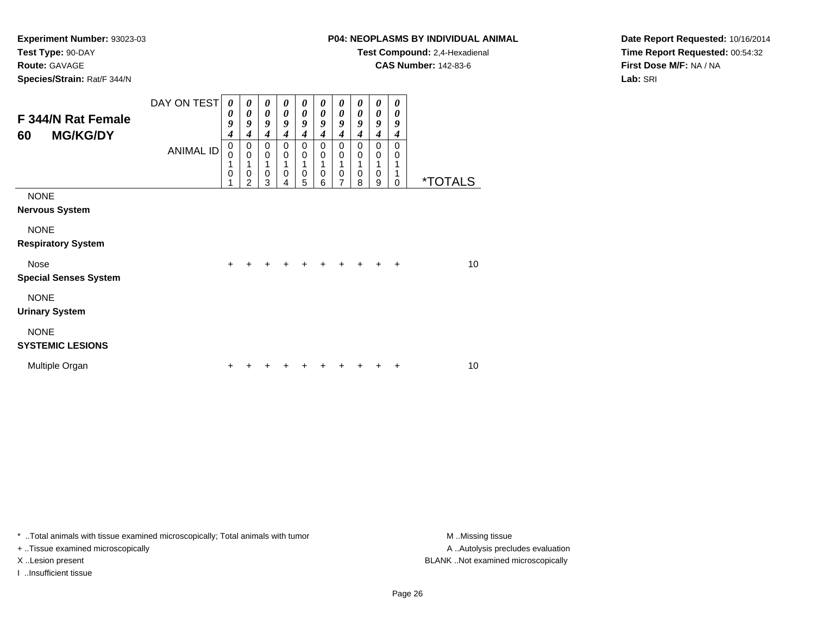# **Route:** GAVAGE

**Species/Strain:** Rat/F 344/N

# **P04: NEOPLASMS BY INDIVIDUAL ANIMAL**

**Test Compound:** 2,4-Hexadienal

**CAS Number:** 142-83-6

**Date Report Requested:** 10/16/2014**Time Report Requested:** 00:54:32**First Dose M/F:** NA / NA**Lab:** SRI

| F 344/N Rat Female<br><b>MG/KG/DY</b><br>60 | DAY ON TEST<br><b>ANIMAL ID</b> | $\boldsymbol{\theta}$<br>0<br>9<br>4<br>0<br>0<br>1<br>0 | 0<br>$\boldsymbol{\theta}$<br>9<br>4<br>0<br>$\mathbf 0$<br>$\mathbf 0$<br>$\overline{2}$ | $\boldsymbol{\theta}$<br>$\boldsymbol{\theta}$<br>9<br>$\boldsymbol{4}$<br>0<br>$\mathbf 0$<br>1<br>$\mathbf 0$<br>3 | 0<br>$\boldsymbol{\theta}$<br>9<br>$\boldsymbol{4}$<br>0<br>0<br>1<br>$\mathbf 0$<br>4 | 0<br>$\boldsymbol{\theta}$<br>9<br>$\boldsymbol{4}$<br>0<br>0<br>1<br>$\boldsymbol{0}$<br>5 | 0<br>0<br>9<br>4<br>0<br>0<br>0<br>6 | 0<br>0<br>9<br>$\boldsymbol{4}$<br>0<br>0<br>1<br>$\pmb{0}$<br>$\overline{7}$ | 0<br>0<br>9<br>4<br>0<br>0<br>0<br>8 | 0<br>0<br>9<br>4<br>0<br>0<br>1<br>0<br>9 | 0<br>0<br>9<br>4<br>0<br>0<br>$\Omega$ | <i><b>*TOTALS</b></i> |
|---------------------------------------------|---------------------------------|----------------------------------------------------------|-------------------------------------------------------------------------------------------|----------------------------------------------------------------------------------------------------------------------|----------------------------------------------------------------------------------------|---------------------------------------------------------------------------------------------|--------------------------------------|-------------------------------------------------------------------------------|--------------------------------------|-------------------------------------------|----------------------------------------|-----------------------|
| <b>NONE</b><br><b>Nervous System</b>        |                                 |                                                          |                                                                                           |                                                                                                                      |                                                                                        |                                                                                             |                                      |                                                                               |                                      |                                           |                                        |                       |
| <b>NONE</b><br><b>Respiratory System</b>    |                                 |                                                          |                                                                                           |                                                                                                                      |                                                                                        |                                                                                             |                                      |                                                                               |                                      |                                           |                                        |                       |
| <b>Nose</b><br><b>Special Senses System</b> |                                 | $\pm$                                                    |                                                                                           |                                                                                                                      |                                                                                        |                                                                                             |                                      |                                                                               |                                      |                                           | ÷                                      | 10                    |
| <b>NONE</b><br><b>Urinary System</b>        |                                 |                                                          |                                                                                           |                                                                                                                      |                                                                                        |                                                                                             |                                      |                                                                               |                                      |                                           |                                        |                       |
| <b>NONE</b><br><b>SYSTEMIC LESIONS</b>      |                                 |                                                          |                                                                                           |                                                                                                                      |                                                                                        |                                                                                             |                                      |                                                                               |                                      |                                           |                                        |                       |
| Multiple Organ                              |                                 | +                                                        |                                                                                           |                                                                                                                      |                                                                                        |                                                                                             |                                      |                                                                               |                                      |                                           |                                        | 10                    |

\* ..Total animals with tissue examined microscopically; Total animals with tumor **M** . Missing tissue M ..Missing tissue

+ ..Tissue examined microscopically

I ..Insufficient tissue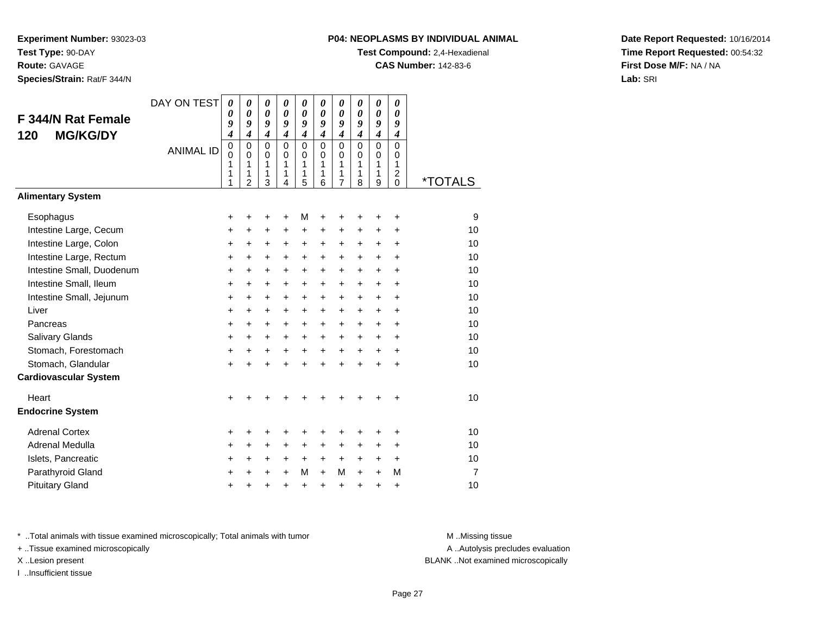# **Species/Strain:** Rat/F 344/N

## **P04: NEOPLASMS BY INDIVIDUAL ANIMAL**

**Test Compound:** 2,4-Hexadienal

**CAS Number:** 142-83-6

**Date Report Requested:** 10/16/2014**Time Report Requested:** 00:54:32**First Dose M/F:** NA / NA**Lab:** SRI

| F 344/N Rat Female<br><b>MG/KG/DY</b><br>120 | DAY ON TEST<br><b>ANIMAL ID</b> | $\boldsymbol{\theta}$<br>0<br>9<br>4<br>$\pmb{0}$<br>$\Omega$<br>1<br>1<br>1 | 0<br>$\boldsymbol{\theta}$<br>9<br>$\boldsymbol{4}$<br>$\mathbf 0$<br>$\Omega$<br>1<br>1<br>$\overline{2}$ | 0<br>$\boldsymbol{\theta}$<br>9<br>$\boldsymbol{4}$<br>$\mathbf 0$<br>$\Omega$<br>1<br>1<br>3 | 0<br>0<br>9<br>$\boldsymbol{4}$<br>$\mathbf 0$<br>$\Omega$<br>1<br>1<br>4 | 0<br>0<br>9<br>4<br>0<br>$\mathbf 0$<br>1<br>1<br>5 | 0<br>0<br>9<br>4<br>$\overline{0}$<br>$\Omega$<br>1<br>1<br>6 | 0<br>0<br>9<br>$\boldsymbol{4}$<br>0<br>$\mathbf 0$<br>1<br>1<br>$\overline{7}$ | 0<br>0<br>9<br>$\boldsymbol{4}$<br>$\Omega$<br>$\Omega$<br>1<br>1<br>8 | 0<br>$\boldsymbol{\theta}$<br>9<br>$\boldsymbol{4}$<br>$\mathbf 0$<br>$\mathbf 0$<br>1<br>1<br>9 | 0<br>0<br>9<br>$\boldsymbol{4}$<br>$\mathbf 0$<br>$\Omega$<br>1<br>2<br>$\Omega$ | <i><b>*TOTALS</b></i> |
|----------------------------------------------|---------------------------------|------------------------------------------------------------------------------|------------------------------------------------------------------------------------------------------------|-----------------------------------------------------------------------------------------------|---------------------------------------------------------------------------|-----------------------------------------------------|---------------------------------------------------------------|---------------------------------------------------------------------------------|------------------------------------------------------------------------|--------------------------------------------------------------------------------------------------|----------------------------------------------------------------------------------|-----------------------|
| <b>Alimentary System</b>                     |                                 |                                                                              |                                                                                                            |                                                                                               |                                                                           |                                                     |                                                               |                                                                                 |                                                                        |                                                                                                  |                                                                                  |                       |
| Esophagus                                    |                                 | +                                                                            | +                                                                                                          | +                                                                                             | +                                                                         | М                                                   | +                                                             |                                                                                 |                                                                        | +                                                                                                | +                                                                                | 9                     |
| Intestine Large, Cecum                       |                                 | +                                                                            | +                                                                                                          | +                                                                                             | +                                                                         | +                                                   | +                                                             | +                                                                               | +                                                                      | +                                                                                                | +                                                                                | 10                    |
| Intestine Large, Colon                       |                                 | +                                                                            | +                                                                                                          | +                                                                                             | $\pm$                                                                     | +                                                   | +                                                             | +                                                                               | $\ddot{}$                                                              | $\pm$                                                                                            | +                                                                                | 10                    |
| Intestine Large, Rectum                      |                                 | $\ddot{}$                                                                    | +                                                                                                          | $\ddot{}$                                                                                     | $\ddot{}$                                                                 | $\ddot{}$                                           | $\ddot{}$                                                     | +                                                                               | $\ddot{}$                                                              | $\ddot{}$                                                                                        | $\ddot{}$                                                                        | 10                    |
| Intestine Small, Duodenum                    |                                 | +                                                                            | $\ddot{}$                                                                                                  | +                                                                                             | +                                                                         | +                                                   | +                                                             | +                                                                               | $\ddot{}$                                                              | $\ddot{}$                                                                                        | $\ddot{}$                                                                        | 10                    |
| Intestine Small, Ileum                       |                                 | +                                                                            | +                                                                                                          | +                                                                                             | +                                                                         | +                                                   | +                                                             | +                                                                               | $\ddot{}$                                                              | +                                                                                                | +                                                                                | 10                    |
| Intestine Small, Jejunum                     |                                 | $\ddot{}$                                                                    | $\ddot{}$                                                                                                  | +                                                                                             | $\ddot{}$                                                                 | $\ddot{}$                                           | +                                                             | +                                                                               | $+$                                                                    | $\ddot{}$                                                                                        | $\ddot{}$                                                                        | 10                    |
| Liver                                        |                                 | $\ddot{}$                                                                    | +                                                                                                          | $\pm$                                                                                         | $\ddot{}$                                                                 | $\pm$                                               | $\ddot{}$                                                     | +                                                                               | $\ddot{}$                                                              | $\ddot{}$                                                                                        | $\ddot{}$                                                                        | 10                    |
| Pancreas                                     |                                 | +                                                                            | +                                                                                                          | +                                                                                             | +                                                                         | +                                                   | +                                                             | +                                                                               | +                                                                      | +                                                                                                | +                                                                                | 10                    |
| Salivary Glands                              |                                 | $\ddot{}$                                                                    | $\ddot{}$                                                                                                  | $\ddot{}$                                                                                     | $\ddot{}$                                                                 | $\ddot{}$                                           | +                                                             | +                                                                               | $\ddot{}$                                                              | $\ddot{}$                                                                                        | $\ddot{}$                                                                        | 10                    |
| Stomach, Forestomach                         |                                 | +                                                                            | $\ddot{}$                                                                                                  | +                                                                                             | +                                                                         | $\ddot{}$                                           | $\ddot{}$                                                     | $\ddot{}$                                                                       | $\ddot{}$                                                              | $+$                                                                                              | $\ddot{}$                                                                        | 10                    |
| Stomach, Glandular                           |                                 | $\ddot{}$                                                                    | $\ddot{}$                                                                                                  | $\ddot{}$                                                                                     | $\ddot{}$                                                                 | $\ddot{}$                                           | $\ddot{}$                                                     | $\ddot{}$                                                                       | $\ddot{}$                                                              | $\ddot{}$                                                                                        | +                                                                                | 10                    |
| <b>Cardiovascular System</b>                 |                                 |                                                                              |                                                                                                            |                                                                                               |                                                                           |                                                     |                                                               |                                                                                 |                                                                        |                                                                                                  |                                                                                  |                       |
| Heart                                        |                                 | $\ddot{}$                                                                    |                                                                                                            |                                                                                               |                                                                           |                                                     |                                                               |                                                                                 |                                                                        |                                                                                                  | +                                                                                | 10                    |
| <b>Endocrine System</b>                      |                                 |                                                                              |                                                                                                            |                                                                                               |                                                                           |                                                     |                                                               |                                                                                 |                                                                        |                                                                                                  |                                                                                  |                       |
| <b>Adrenal Cortex</b>                        |                                 | +                                                                            | +                                                                                                          | +                                                                                             | +                                                                         | +                                                   | +                                                             | +                                                                               | +                                                                      | +                                                                                                | +                                                                                | 10                    |
| Adrenal Medulla                              |                                 | +                                                                            | +                                                                                                          | +                                                                                             | +                                                                         | +                                                   | +                                                             | +                                                                               | +                                                                      | +                                                                                                | +                                                                                | 10                    |
| Islets, Pancreatic                           |                                 | +                                                                            | $\ddot{}$                                                                                                  | +                                                                                             | $\ddot{}$                                                                 | $\ddot{}$                                           | $\ddot{}$                                                     | $\ddot{}$                                                                       | $\ddot{}$                                                              | $\ddot{}$                                                                                        | $\ddot{}$                                                                        | 10                    |
| Parathyroid Gland                            |                                 | $\ddot{}$                                                                    | $\ddot{}$                                                                                                  | $\ddot{}$                                                                                     | $\ddot{}$                                                                 | М                                                   | $+$                                                           | М                                                                               | $\ddot{}$                                                              | $\ddot{}$                                                                                        | м                                                                                | $\overline{7}$        |
| <b>Pituitary Gland</b>                       |                                 | +                                                                            | +                                                                                                          | $\ddot{}$                                                                                     | $\ddot{}$                                                                 | +                                                   | +                                                             | +                                                                               | +                                                                      | +                                                                                                | +                                                                                | 10                    |

\* ..Total animals with tissue examined microscopically; Total animals with tumor **M** . Missing tissue M ..Missing tissue

+ ..Tissue examined microscopically

I ..Insufficient tissue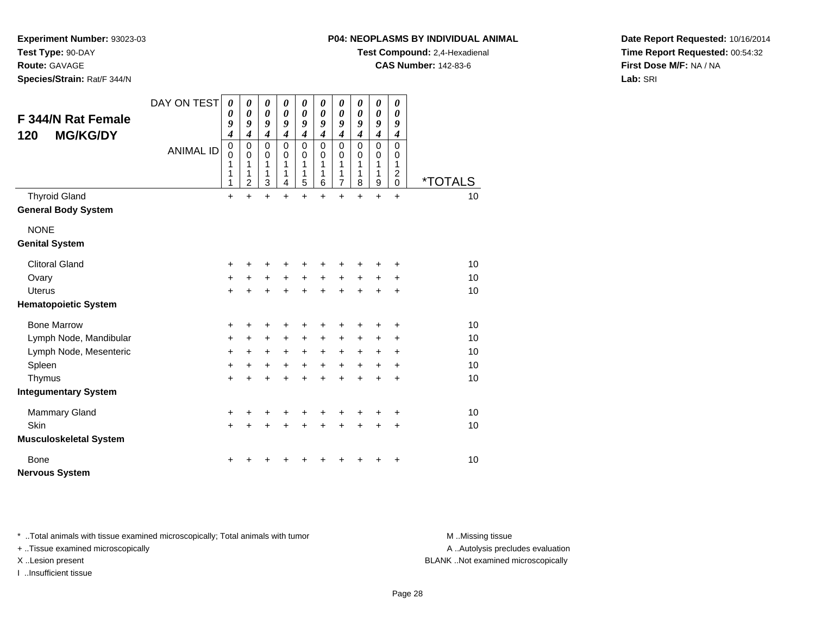**P04: NEOPLASMS BY INDIVIDUAL ANIMAL**

**Test Compound:** 2,4-Hexadienal

**CAS Number:** 142-83-6

**Date Report Requested:** 10/16/2014**Time Report Requested:** 00:54:32**First Dose M/F:** NA / NA**Lab:** SRI

**Experiment Number:** 93023-03**Test Type:** 90-DAY**Route:** GAVAGE

**Species/Strain:** Rat/F 344/N

| <b>F 344/N Rat Female</b><br><b>MG/KG/DY</b><br>120 | DAY ON TEST<br><b>ANIMAL ID</b> | $\boldsymbol{\theta}$<br>0<br>9<br>$\boldsymbol{4}$<br>$\pmb{0}$<br>$\Omega$<br>1<br>1<br>1 | 0<br>0<br>9<br>$\overline{4}$<br>$\mathbf 0$<br>$\Omega$<br>1<br>1<br>$\overline{2}$ | 0<br>$\boldsymbol{\theta}$<br>9<br>$\boldsymbol{4}$<br>$\mathbf 0$<br>$\Omega$<br>1<br>1<br>3 | 0<br>$\boldsymbol{\theta}$<br>9<br>$\overline{\boldsymbol{4}}$<br>$\mathbf 0$<br>$\Omega$<br>1<br>1<br>4 | 0<br>0<br>9<br>$\boldsymbol{4}$<br>$\pmb{0}$<br>$\Omega$<br>1<br>1<br>5 | 0<br>$\boldsymbol{\theta}$<br>9<br>$\boldsymbol{4}$<br>$\mathbf 0$<br>$\Omega$<br>1<br>1<br>6 | 0<br>0<br>9<br>$\boldsymbol{4}$<br>$\mathbf 0$<br>$\mathbf 0$<br>1<br>1<br>7 | 0<br>$\boldsymbol{\theta}$<br>9<br>$\boldsymbol{4}$<br>$\mathbf 0$<br>0<br>1<br>1<br>8 | 0<br>$\boldsymbol{\theta}$<br>9<br>$\boldsymbol{4}$<br>$\mathbf 0$<br>$\mathbf 0$<br>$\mathbf{1}$<br>1<br>$\boldsymbol{9}$ | 0<br>$\boldsymbol{\theta}$<br>9<br>$\boldsymbol{4}$<br>$\mathbf 0$<br>$\mathbf 0$<br>1<br>$\overline{c}$<br>$\overline{0}$ | <i><b>*TOTALS</b></i> |
|-----------------------------------------------------|---------------------------------|---------------------------------------------------------------------------------------------|--------------------------------------------------------------------------------------|-----------------------------------------------------------------------------------------------|----------------------------------------------------------------------------------------------------------|-------------------------------------------------------------------------|-----------------------------------------------------------------------------------------------|------------------------------------------------------------------------------|----------------------------------------------------------------------------------------|----------------------------------------------------------------------------------------------------------------------------|----------------------------------------------------------------------------------------------------------------------------|-----------------------|
| <b>Thyroid Gland</b>                                |                                 | $\ddot{}$                                                                                   | $\ddot{}$                                                                            | $\ddot{}$                                                                                     | $\ddot{}$                                                                                                | $\ddot{}$                                                               | $\ddot{}$                                                                                     | $\ddot{}$                                                                    | $\ddot{}$                                                                              | $\ddot{}$                                                                                                                  | $\ddot{}$                                                                                                                  | 10                    |
| <b>General Body System</b>                          |                                 |                                                                                             |                                                                                      |                                                                                               |                                                                                                          |                                                                         |                                                                                               |                                                                              |                                                                                        |                                                                                                                            |                                                                                                                            |                       |
| <b>NONE</b>                                         |                                 |                                                                                             |                                                                                      |                                                                                               |                                                                                                          |                                                                         |                                                                                               |                                                                              |                                                                                        |                                                                                                                            |                                                                                                                            |                       |
| <b>Genital System</b>                               |                                 |                                                                                             |                                                                                      |                                                                                               |                                                                                                          |                                                                         |                                                                                               |                                                                              |                                                                                        |                                                                                                                            |                                                                                                                            |                       |
| <b>Clitoral Gland</b>                               |                                 | +                                                                                           | ٠                                                                                    | +                                                                                             | ٠                                                                                                        | ٠                                                                       |                                                                                               |                                                                              |                                                                                        |                                                                                                                            | +                                                                                                                          | 10                    |
| Ovary                                               |                                 | $\ddot{}$                                                                                   | $\ddot{}$                                                                            | $\ddot{}$                                                                                     | $+$                                                                                                      | $+$                                                                     | $+$                                                                                           | $+$                                                                          | $+$                                                                                    | $+$                                                                                                                        | $\ddot{}$                                                                                                                  | 10                    |
| <b>Uterus</b>                                       |                                 | $\ddot{}$                                                                                   |                                                                                      | $\ddot{}$                                                                                     | ÷                                                                                                        | $\ddot{}$                                                               | $\ddot{}$                                                                                     | $\ddot{}$                                                                    | $\ddot{}$                                                                              | $\ddot{}$                                                                                                                  | $\ddot{}$                                                                                                                  | 10                    |
| <b>Hematopoietic System</b>                         |                                 |                                                                                             |                                                                                      |                                                                                               |                                                                                                          |                                                                         |                                                                                               |                                                                              |                                                                                        |                                                                                                                            |                                                                                                                            |                       |
| <b>Bone Marrow</b>                                  |                                 | +                                                                                           | +                                                                                    | +                                                                                             | +                                                                                                        | +                                                                       | +                                                                                             | ٠                                                                            | +                                                                                      | +                                                                                                                          | +                                                                                                                          | 10                    |
| Lymph Node, Mandibular                              |                                 | $\ddot{}$                                                                                   | $\ddot{}$                                                                            | +                                                                                             | $\ddot{}$                                                                                                | $\ddot{}$                                                               | $\ddot{}$                                                                                     | $\ddot{}$                                                                    | $\ddot{}$                                                                              | $\ddot{}$                                                                                                                  | $\ddot{}$                                                                                                                  | 10                    |
| Lymph Node, Mesenteric                              |                                 | $\ddot{}$                                                                                   | $+$                                                                                  | $\ddot{}$                                                                                     | $+$                                                                                                      | $+$                                                                     | $+$                                                                                           | $\ddot{}$                                                                    | $\ddot{}$                                                                              | $\ddot{}$                                                                                                                  | $\ddot{}$                                                                                                                  | 10                    |
| Spleen                                              |                                 | $\ddot{}$                                                                                   | $\ddot{}$                                                                            | +                                                                                             | $\ddot{}$                                                                                                | $+$                                                                     | $\ddot{}$                                                                                     | $+$                                                                          | $+$                                                                                    | $\ddot{}$                                                                                                                  | $\ddot{}$                                                                                                                  | 10                    |
| Thymus                                              |                                 | $\ddot{}$                                                                                   | $\ddot{}$                                                                            | $\ddot{}$                                                                                     | $\ddot{}$                                                                                                | $\ddot{}$                                                               | $\ddot{}$                                                                                     | $\ddot{}$                                                                    | $\ddot{}$                                                                              | $\ddot{}$                                                                                                                  | +                                                                                                                          | 10                    |
| <b>Integumentary System</b>                         |                                 |                                                                                             |                                                                                      |                                                                                               |                                                                                                          |                                                                         |                                                                                               |                                                                              |                                                                                        |                                                                                                                            |                                                                                                                            |                       |
| <b>Mammary Gland</b>                                |                                 | +                                                                                           | +                                                                                    | +                                                                                             | +                                                                                                        | ٠                                                                       |                                                                                               |                                                                              | +                                                                                      | +                                                                                                                          | $\ddot{}$                                                                                                                  | 10                    |
| Skin                                                |                                 | $\ddot{}$                                                                                   | ÷                                                                                    | $\ddot{}$                                                                                     | ÷                                                                                                        | $\ddot{}$                                                               | $\ddot{}$                                                                                     | $\ddot{}$                                                                    | $\ddot{}$                                                                              | $\ddot{}$                                                                                                                  | $\ddot{}$                                                                                                                  | 10                    |
| <b>Musculoskeletal System</b>                       |                                 |                                                                                             |                                                                                      |                                                                                               |                                                                                                          |                                                                         |                                                                                               |                                                                              |                                                                                        |                                                                                                                            |                                                                                                                            |                       |
| Bone<br><b>Nervous System</b>                       |                                 | +                                                                                           |                                                                                      |                                                                                               |                                                                                                          |                                                                         |                                                                                               |                                                                              |                                                                                        |                                                                                                                            | ٠                                                                                                                          | 10                    |

\* ..Total animals with tissue examined microscopically; Total animals with tumor **M** . Missing tissue M ..Missing tissue

+ ..Tissue examined microscopically

I ..Insufficient tissue

A ..Autolysis precludes evaluation

X ..Lesion present BLANK ..Not examined microscopically